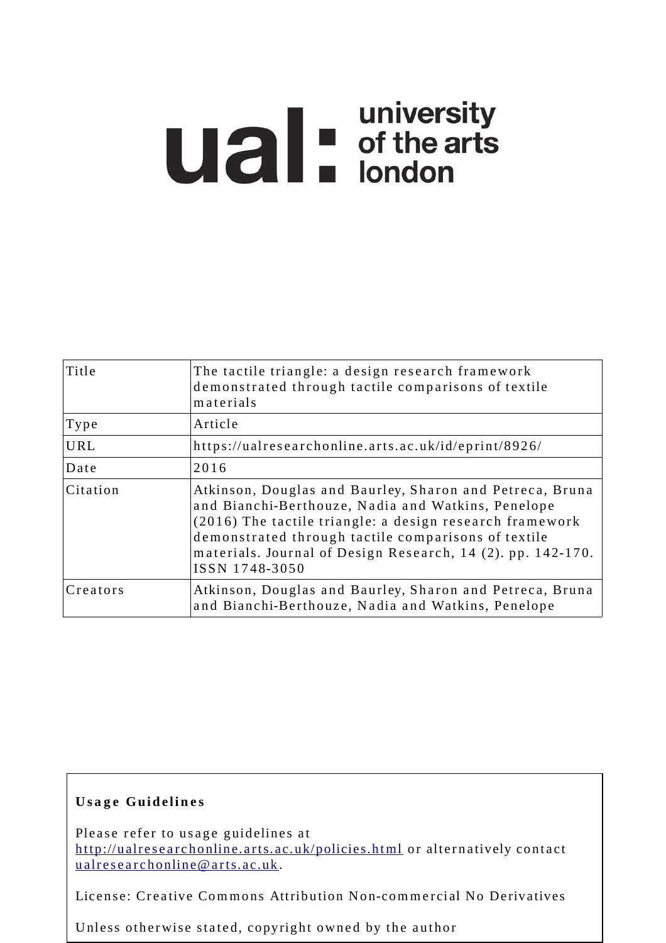# **university**<br> **university**<br> **of the arts**<br> **ondon**

| Title                 | The tactile triangle: a design research framework<br>demonstrated through tactile comparisons of textile<br>materials                                                                                                                                                                                              |
|-----------------------|--------------------------------------------------------------------------------------------------------------------------------------------------------------------------------------------------------------------------------------------------------------------------------------------------------------------|
| $\sqrt{\text{T}}$ ype | Article                                                                                                                                                                                                                                                                                                            |
| URL                   | https://ualresearchonline.arts.ac.uk/id/eprint/8926/                                                                                                                                                                                                                                                               |
| Date                  | 2016                                                                                                                                                                                                                                                                                                               |
| Citation              | Atkinson, Douglas and Baurley, Sharon and Petreca, Bruna<br>and Bianchi-Berthouze, Nadia and Watkins, Penelope<br>(2016) The tactile triangle: a design research framework<br>demonstrated through tactile comparisons of textile<br>materials. Journal of Design Research, 14 (2). pp. 142-170.<br>ISSN 1748-3050 |
| Creators              | Atkinson, Douglas and Baurley, Sharon and Petreca, Bruna<br>and Bianchi-Berthouze, Nadia and Watkins, Penelope                                                                                                                                                                                                     |

# **U s a g e Gui d e li n e s**

Please refer to usage guidelines at http://ualresearchonline.arts.ac.uk/policies.html or alternatively contact u alres e archonline@ arts.ac.uk.

License: Creative Commons Attribution Non-commercial No Derivatives

Unless otherwise stated, copyright owned by the author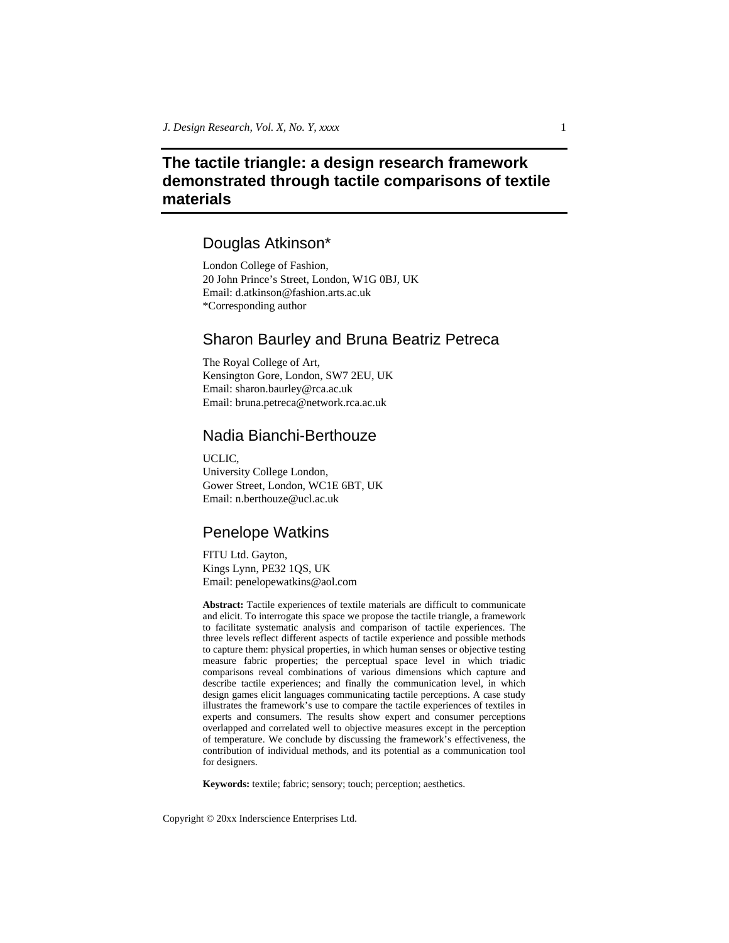# **The tactile triangle: a design research framework demonstrated through tactile comparisons of textile materials**

# Douglas Atkinson\*

London College of Fashion, 20 John Prince's Street, London, W1G 0BJ, UK Email: d.atkinson@fashion.arts.ac.uk \*Corresponding author

# Sharon Baurley and Bruna Beatriz Petreca

The Royal College of Art, Kensington Gore, London, SW7 2EU, UK Email: sharon.baurley@rca.ac.uk Email: bruna.petreca@network.rca.ac.uk

# Nadia Bianchi-Berthouze

UCLIC, University College London, Gower Street, London, WC1E 6BT, UK Email: n.berthouze@ucl.ac.uk

# Penelope Watkins

FITU Ltd. Gayton, Kings Lynn, PE32 1QS, UK Email: penelopewatkins@aol.com

**Abstract:** Tactile experiences of textile materials are difficult to communicate and elicit. To interrogate this space we propose the tactile triangle, a framework to facilitate systematic analysis and comparison of tactile experiences. The three levels reflect different aspects of tactile experience and possible methods to capture them: physical properties, in which human senses or objective testing measure fabric properties; the perceptual space level in which triadic comparisons reveal combinations of various dimensions which capture and describe tactile experiences; and finally the communication level, in which design games elicit languages communicating tactile perceptions. A case study illustrates the framework's use to compare the tactile experiences of textiles in experts and consumers. The results show expert and consumer perceptions overlapped and correlated well to objective measures except in the perception of temperature. We conclude by discussing the framework's effectiveness, the contribution of individual methods, and its potential as a communication tool for designers.

**Keywords:** textile; fabric; sensory; touch; perception; aesthetics.

Copyright © 20xx Inderscience Enterprises Ltd.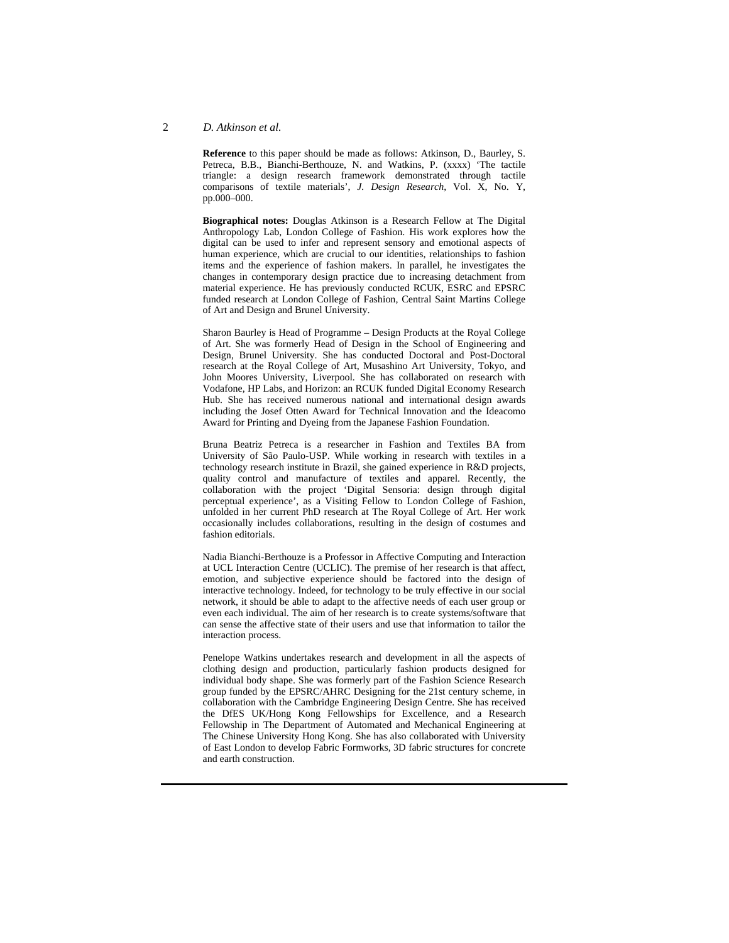**Reference** to this paper should be made as follows: Atkinson, D., Baurley, S. Petreca, B.B., Bianchi-Berthouze, N. and Watkins, P. (xxxx) 'The tactile triangle: a design research framework demonstrated through tactile comparisons of textile materials', *J. Design Research*, Vol. X, No. Y, pp.000–000.

**Biographical notes:** Douglas Atkinson is a Research Fellow at The Digital Anthropology Lab, London College of Fashion. His work explores how the digital can be used to infer and represent sensory and emotional aspects of human experience, which are crucial to our identities, relationships to fashion items and the experience of fashion makers. In parallel, he investigates the changes in contemporary design practice due to increasing detachment from material experience. He has previously conducted RCUK, ESRC and EPSRC funded research at London College of Fashion, Central Saint Martins College of Art and Design and Brunel University.

Sharon Baurley is Head of Programme – Design Products at the Royal College of Art. She was formerly Head of Design in the School of Engineering and Design, Brunel University. She has conducted Doctoral and Post-Doctoral research at the Royal College of Art, Musashino Art University, Tokyo, and John Moores University, Liverpool. She has collaborated on research with Vodafone, HP Labs, and Horizon: an RCUK funded Digital Economy Research Hub. She has received numerous national and international design awards including the Josef Otten Award for Technical Innovation and the Ideacomo Award for Printing and Dyeing from the Japanese Fashion Foundation.

Bruna Beatriz Petreca is a researcher in Fashion and Textiles BA from University of São Paulo-USP. While working in research with textiles in a technology research institute in Brazil, she gained experience in R&D projects, quality control and manufacture of textiles and apparel. Recently, the collaboration with the project 'Digital Sensoria: design through digital perceptual experience', as a Visiting Fellow to London College of Fashion, unfolded in her current PhD research at The Royal College of Art. Her work occasionally includes collaborations, resulting in the design of costumes and fashion editorials.

Nadia Bianchi-Berthouze is a Professor in Affective Computing and Interaction at UCL Interaction Centre (UCLIC). The premise of her research is that affect, emotion, and subjective experience should be factored into the design of interactive technology. Indeed, for technology to be truly effective in our social network, it should be able to adapt to the affective needs of each user group or even each individual. The aim of her research is to create systems/software that can sense the affective state of their users and use that information to tailor the interaction process.

Penelope Watkins undertakes research and development in all the aspects of clothing design and production, particularly fashion products designed for individual body shape. She was formerly part of the Fashion Science Research group funded by the EPSRC/AHRC Designing for the 21st century scheme, in collaboration with the Cambridge Engineering Design Centre. She has received the DfES UK/Hong Kong Fellowships for Excellence, and a Research Fellowship in The Department of Automated and Mechanical Engineering at The Chinese University Hong Kong. She has also collaborated with University of East London to develop Fabric Formworks, 3D fabric structures for concrete and earth construction.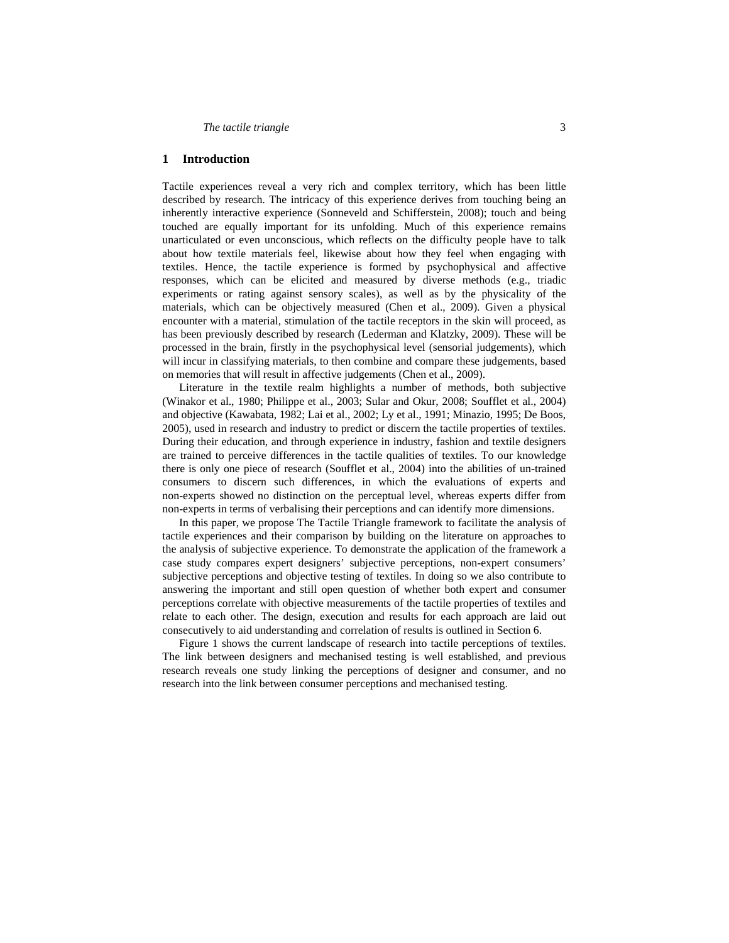# **1 Introduction**

Tactile experiences reveal a very rich and complex territory, which has been little described by research. The intricacy of this experience derives from touching being an inherently interactive experience (Sonneveld and Schifferstein, 2008); touch and being touched are equally important for its unfolding. Much of this experience remains unarticulated or even unconscious, which reflects on the difficulty people have to talk about how textile materials feel, likewise about how they feel when engaging with textiles. Hence, the tactile experience is formed by psychophysical and affective responses, which can be elicited and measured by diverse methods (e.g., triadic experiments or rating against sensory scales), as well as by the physicality of the materials, which can be objectively measured (Chen et al., 2009). Given a physical encounter with a material, stimulation of the tactile receptors in the skin will proceed, as has been previously described by research (Lederman and Klatzky, 2009). These will be processed in the brain, firstly in the psychophysical level (sensorial judgements), which will incur in classifying materials, to then combine and compare these judgements, based on memories that will result in affective judgements (Chen et al., 2009).

Literature in the textile realm highlights a number of methods, both subjective (Winakor et al., 1980; Philippe et al., 2003; Sular and Okur, 2008; Soufflet et al., 2004) and objective (Kawabata, 1982; Lai et al., 2002; Ly et al., 1991; Minazio, 1995; De Boos, 2005), used in research and industry to predict or discern the tactile properties of textiles. During their education, and through experience in industry, fashion and textile designers are trained to perceive differences in the tactile qualities of textiles. To our knowledge there is only one piece of research (Soufflet et al., 2004) into the abilities of un-trained consumers to discern such differences, in which the evaluations of experts and non-experts showed no distinction on the perceptual level, whereas experts differ from non-experts in terms of verbalising their perceptions and can identify more dimensions.

In this paper, we propose The Tactile Triangle framework to facilitate the analysis of tactile experiences and their comparison by building on the literature on approaches to the analysis of subjective experience. To demonstrate the application of the framework a case study compares expert designers' subjective perceptions, non-expert consumers' subjective perceptions and objective testing of textiles. In doing so we also contribute to answering the important and still open question of whether both expert and consumer perceptions correlate with objective measurements of the tactile properties of textiles and relate to each other. The design, execution and results for each approach are laid out consecutively to aid understanding and correlation of results is outlined in Section 6.

Figure 1 shows the current landscape of research into tactile perceptions of textiles. The link between designers and mechanised testing is well established, and previous research reveals one study linking the perceptions of designer and consumer, and no research into the link between consumer perceptions and mechanised testing.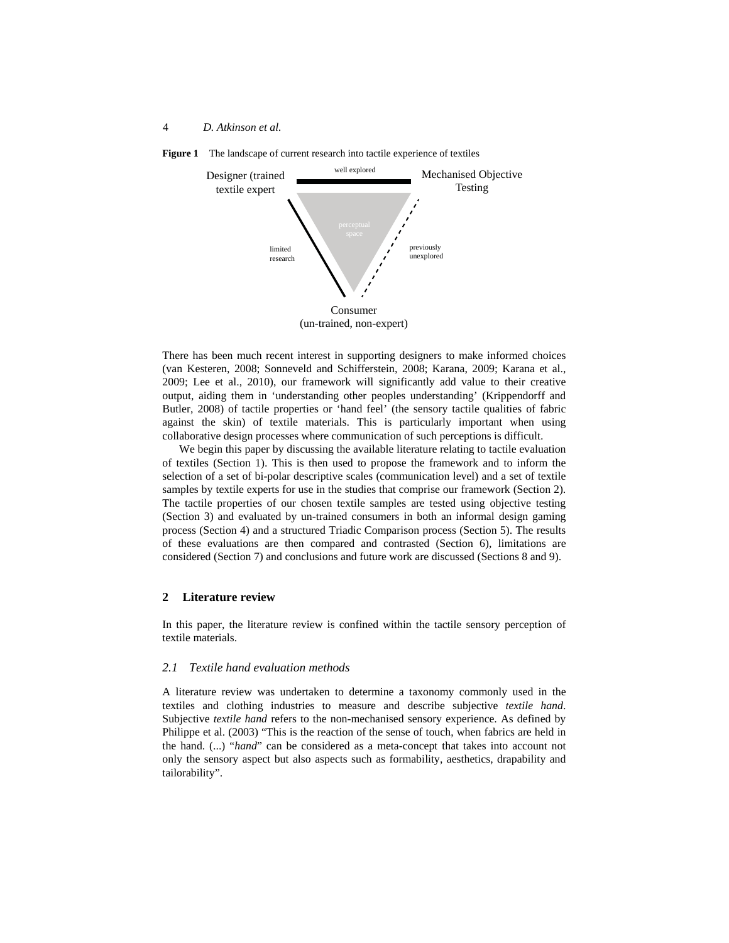

**Figure 1** The landscape of current research into tactile experience of textiles

There has been much recent interest in supporting designers to make informed choices (van Kesteren, 2008; Sonneveld and Schifferstein, 2008; Karana, 2009; Karana et al., 2009; Lee et al., 2010), our framework will significantly add value to their creative output, aiding them in 'understanding other peoples understanding' (Krippendorff and Butler, 2008) of tactile properties or 'hand feel' (the sensory tactile qualities of fabric against the skin) of textile materials. This is particularly important when using collaborative design processes where communication of such perceptions is difficult.

We begin this paper by discussing the available literature relating to tactile evaluation of textiles (Section 1). This is then used to propose the framework and to inform the selection of a set of bi-polar descriptive scales (communication level) and a set of textile samples by textile experts for use in the studies that comprise our framework (Section 2). The tactile properties of our chosen textile samples are tested using objective testing (Section 3) and evaluated by un-trained consumers in both an informal design gaming process (Section 4) and a structured Triadic Comparison process (Section 5). The results of these evaluations are then compared and contrasted (Section 6), limitations are considered (Section 7) and conclusions and future work are discussed (Sections 8 and 9).

#### **2 Literature review**

In this paper, the literature review is confined within the tactile sensory perception of textile materials.

# *2.1 Textile hand evaluation methods*

A literature review was undertaken to determine a taxonomy commonly used in the textiles and clothing industries to measure and describe subjective *textile hand*. Subjective *textile hand* refers to the non-mechanised sensory experience. As defined by Philippe et al. (2003) "This is the reaction of the sense of touch, when fabrics are held in the hand. (...) "*hand*" can be considered as a meta-concept that takes into account not only the sensory aspect but also aspects such as formability, aesthetics, drapability and tailorability".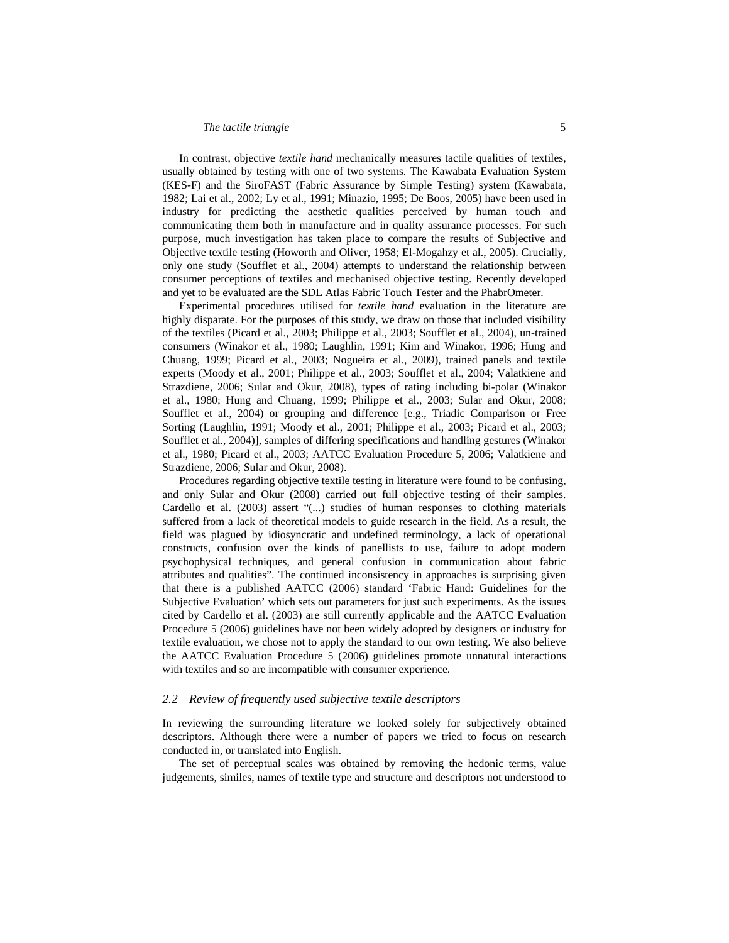In contrast, objective *textile hand* mechanically measures tactile qualities of textiles, usually obtained by testing with one of two systems. The Kawabata Evaluation System (KES-F) and the SiroFAST (Fabric Assurance by Simple Testing) system (Kawabata, 1982; Lai et al., 2002; Ly et al., 1991; Minazio, 1995; De Boos, 2005) have been used in industry for predicting the aesthetic qualities perceived by human touch and communicating them both in manufacture and in quality assurance processes. For such purpose, much investigation has taken place to compare the results of Subjective and Objective textile testing (Howorth and Oliver, 1958; El-Mogahzy et al., 2005). Crucially, only one study (Soufflet et al., 2004) attempts to understand the relationship between consumer perceptions of textiles and mechanised objective testing. Recently developed and yet to be evaluated are the SDL Atlas Fabric Touch Tester and the PhabrOmeter.

Experimental procedures utilised for *textile hand* evaluation in the literature are highly disparate. For the purposes of this study, we draw on those that included visibility of the textiles (Picard et al., 2003; Philippe et al., 2003; Soufflet et al., 2004), un-trained consumers (Winakor et al., 1980; Laughlin, 1991; Kim and Winakor, 1996; Hung and Chuang, 1999; Picard et al., 2003; Nogueira et al., 2009), trained panels and textile experts (Moody et al., 2001; Philippe et al., 2003; Soufflet et al., 2004; Valatkiene and Strazdiene, 2006; Sular and Okur, 2008), types of rating including bi-polar (Winakor et al., 1980; Hung and Chuang, 1999; Philippe et al., 2003; Sular and Okur, 2008; Soufflet et al., 2004) or grouping and difference [e.g., Triadic Comparison or Free Sorting (Laughlin, 1991; Moody et al., 2001; Philippe et al., 2003; Picard et al., 2003; Soufflet et al., 2004)], samples of differing specifications and handling gestures (Winakor et al., 1980; Picard et al., 2003; AATCC Evaluation Procedure 5, 2006; Valatkiene and Strazdiene, 2006; Sular and Okur, 2008).

Procedures regarding objective textile testing in literature were found to be confusing, and only Sular and Okur (2008) carried out full objective testing of their samples. Cardello et al. (2003) assert "(...) studies of human responses to clothing materials suffered from a lack of theoretical models to guide research in the field. As a result, the field was plagued by idiosyncratic and undefined terminology, a lack of operational constructs, confusion over the kinds of panellists to use, failure to adopt modern psychophysical techniques, and general confusion in communication about fabric attributes and qualities". The continued inconsistency in approaches is surprising given that there is a published AATCC (2006) standard 'Fabric Hand: Guidelines for the Subjective Evaluation' which sets out parameters for just such experiments. As the issues cited by Cardello et al. (2003) are still currently applicable and the AATCC Evaluation Procedure 5 (2006) guidelines have not been widely adopted by designers or industry for textile evaluation, we chose not to apply the standard to our own testing. We also believe the AATCC Evaluation Procedure 5 (2006) guidelines promote unnatural interactions with textiles and so are incompatible with consumer experience.

#### *2.2 Review of frequently used subjective textile descriptors*

In reviewing the surrounding literature we looked solely for subjectively obtained descriptors. Although there were a number of papers we tried to focus on research conducted in, or translated into English.

The set of perceptual scales was obtained by removing the hedonic terms, value judgements, similes, names of textile type and structure and descriptors not understood to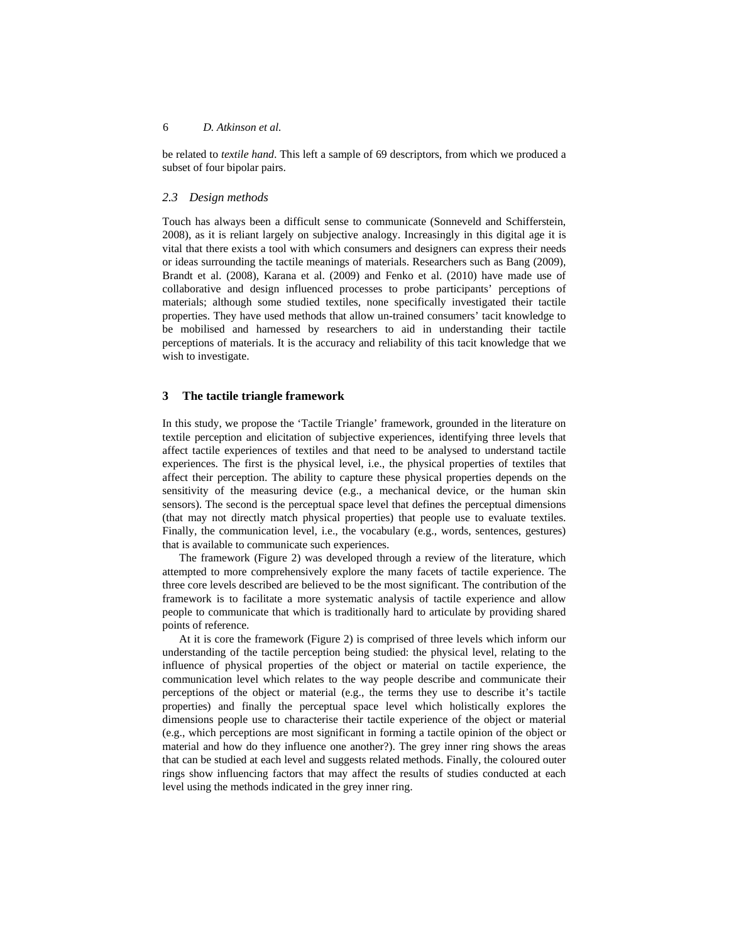be related to *textile hand*. This left a sample of 69 descriptors, from which we produced a subset of four bipolar pairs.

#### *2.3 Design methods*

Touch has always been a difficult sense to communicate (Sonneveld and Schifferstein, 2008), as it is reliant largely on subjective analogy. Increasingly in this digital age it is vital that there exists a tool with which consumers and designers can express their needs or ideas surrounding the tactile meanings of materials. Researchers such as Bang (2009), Brandt et al. (2008), Karana et al. (2009) and Fenko et al. (2010) have made use of collaborative and design influenced processes to probe participants' perceptions of materials; although some studied textiles, none specifically investigated their tactile properties. They have used methods that allow un-trained consumers' tacit knowledge to be mobilised and harnessed by researchers to aid in understanding their tactile perceptions of materials. It is the accuracy and reliability of this tacit knowledge that we wish to investigate.

## **3 The tactile triangle framework**

In this study, we propose the 'Tactile Triangle' framework, grounded in the literature on textile perception and elicitation of subjective experiences, identifying three levels that affect tactile experiences of textiles and that need to be analysed to understand tactile experiences. The first is the physical level, i.e., the physical properties of textiles that affect their perception. The ability to capture these physical properties depends on the sensitivity of the measuring device (e.g., a mechanical device, or the human skin sensors). The second is the perceptual space level that defines the perceptual dimensions (that may not directly match physical properties) that people use to evaluate textiles. Finally, the communication level, i.e., the vocabulary (e.g., words, sentences, gestures) that is available to communicate such experiences.

The framework (Figure 2) was developed through a review of the literature, which attempted to more comprehensively explore the many facets of tactile experience. The three core levels described are believed to be the most significant. The contribution of the framework is to facilitate a more systematic analysis of tactile experience and allow people to communicate that which is traditionally hard to articulate by providing shared points of reference.

At it is core the framework (Figure 2) is comprised of three levels which inform our understanding of the tactile perception being studied: the physical level, relating to the influence of physical properties of the object or material on tactile experience, the communication level which relates to the way people describe and communicate their perceptions of the object or material (e.g., the terms they use to describe it's tactile properties) and finally the perceptual space level which holistically explores the dimensions people use to characterise their tactile experience of the object or material (e.g., which perceptions are most significant in forming a tactile opinion of the object or material and how do they influence one another?). The grey inner ring shows the areas that can be studied at each level and suggests related methods. Finally, the coloured outer rings show influencing factors that may affect the results of studies conducted at each level using the methods indicated in the grey inner ring.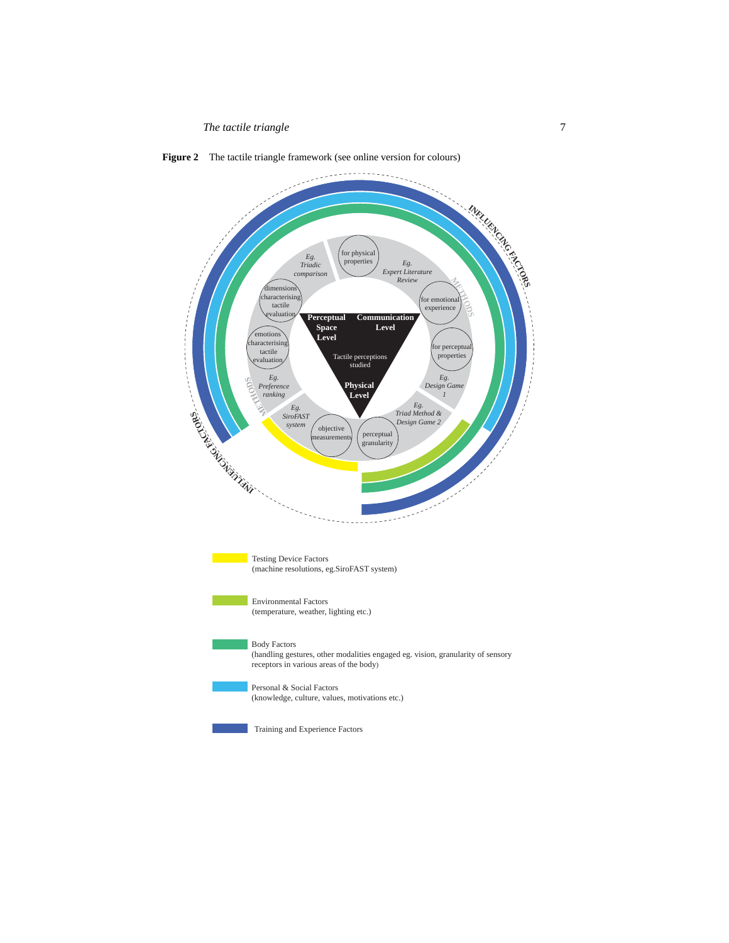*The tactile triangle*  $\overline{7}$ 



Figure 2 The tactile triangle framework (see online version for colours)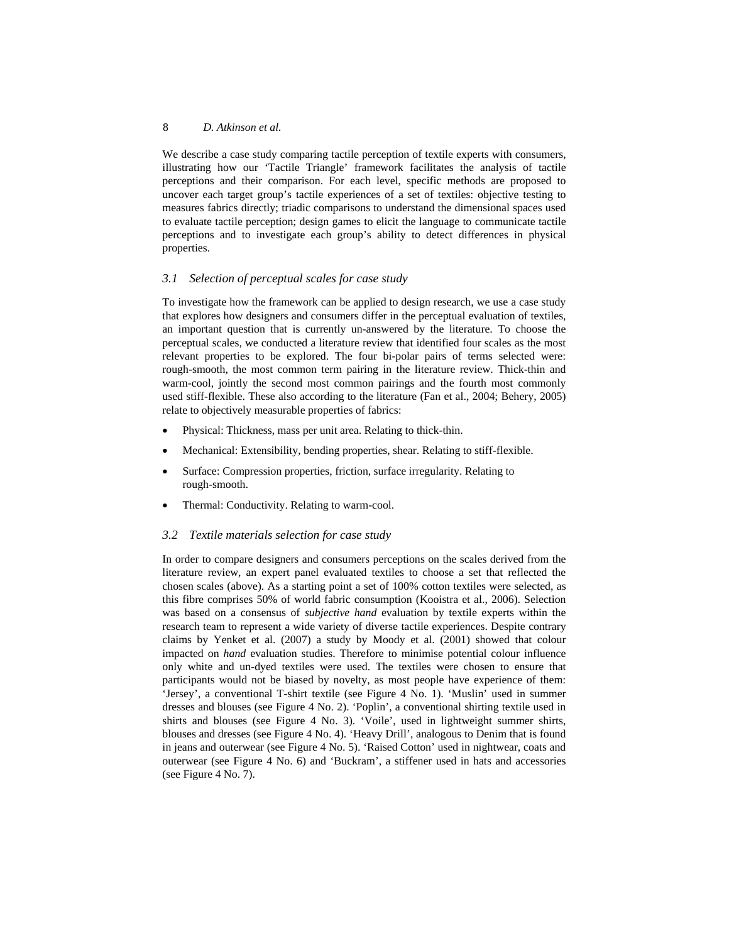We describe a case study comparing tactile perception of textile experts with consumers, illustrating how our 'Tactile Triangle' framework facilitates the analysis of tactile perceptions and their comparison. For each level, specific methods are proposed to uncover each target group's tactile experiences of a set of textiles: objective testing to measures fabrics directly; triadic comparisons to understand the dimensional spaces used to evaluate tactile perception; design games to elicit the language to communicate tactile perceptions and to investigate each group's ability to detect differences in physical properties.

#### *3.1 Selection of perceptual scales for case study*

To investigate how the framework can be applied to design research, we use a case study that explores how designers and consumers differ in the perceptual evaluation of textiles, an important question that is currently un-answered by the literature. To choose the perceptual scales, we conducted a literature review that identified four scales as the most relevant properties to be explored. The four bi-polar pairs of terms selected were: rough-smooth, the most common term pairing in the literature review. Thick-thin and warm-cool, jointly the second most common pairings and the fourth most commonly used stiff-flexible. These also according to the literature (Fan et al., 2004; Behery, 2005) relate to objectively measurable properties of fabrics:

- Physical: Thickness, mass per unit area. Relating to thick-thin.
- Mechanical: Extensibility, bending properties, shear. Relating to stiff-flexible.
- Surface: Compression properties, friction, surface irregularity. Relating to rough-smooth.
- Thermal: Conductivity. Relating to warm-cool.

# *3.2 Textile materials selection for case study*

In order to compare designers and consumers perceptions on the scales derived from the literature review, an expert panel evaluated textiles to choose a set that reflected the chosen scales (above). As a starting point a set of 100% cotton textiles were selected, as this fibre comprises 50% of world fabric consumption (Kooistra et al., 2006). Selection was based on a consensus of *subjective hand* evaluation by textile experts within the research team to represent a wide variety of diverse tactile experiences. Despite contrary claims by Yenket et al. (2007) a study by Moody et al. (2001) showed that colour impacted on *hand* evaluation studies. Therefore to minimise potential colour influence only white and un-dyed textiles were used. The textiles were chosen to ensure that participants would not be biased by novelty, as most people have experience of them: 'Jersey', a conventional T-shirt textile (see Figure 4 No. 1). 'Muslin' used in summer dresses and blouses (see Figure 4 No. 2). 'Poplin', a conventional shirting textile used in shirts and blouses (see Figure 4 No. 3). 'Voile', used in lightweight summer shirts, blouses and dresses (see Figure 4 No. 4). 'Heavy Drill', analogous to Denim that is found in jeans and outerwear (see Figure 4 No. 5). 'Raised Cotton' used in nightwear, coats and outerwear (see Figure 4 No. 6) and 'Buckram', a stiffener used in hats and accessories (see Figure 4 No. 7).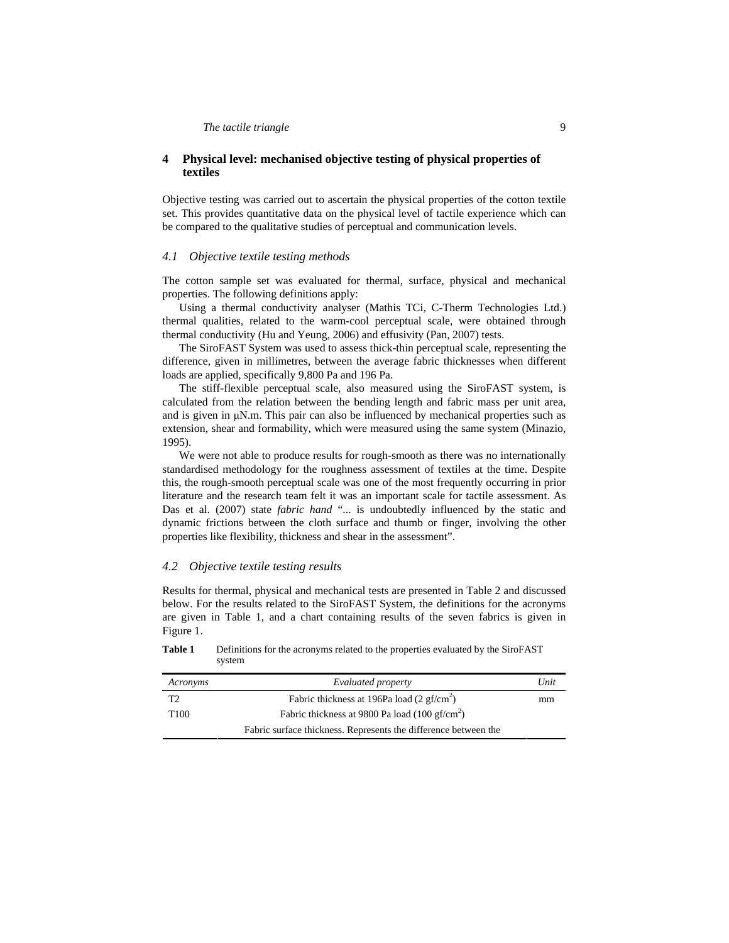# **4 Physical level: mechanised objective testing of physical properties of textiles**

Objective testing was carried out to ascertain the physical properties of the cotton textile set. This provides quantitative data on the physical level of tactile experience which can be compared to the qualitative studies of perceptual and communication levels.

## *4.1 Objective textile testing methods*

The cotton sample set was evaluated for thermal, surface, physical and mechanical properties. The following definitions apply:

Using a thermal conductivity analyser (Mathis TCi, C-Therm Technologies Ltd.) thermal qualities, related to the warm-cool perceptual scale, were obtained through thermal conductivity (Hu and Yeung, 2006) and effusivity (Pan, 2007) tests.

The SiroFAST System was used to assess thick-thin perceptual scale, representing the difference, given in millimetres, between the average fabric thicknesses when different loads are applied, specifically 9,800 Pa and 196 Pa.

The stiff-flexible perceptual scale, also measured using the SiroFAST system, is calculated from the relation between the bending length and fabric mass per unit area, and is given in μN.m. This pair can also be influenced by mechanical properties such as extension, shear and formability, which were measured using the same system (Minazio, 1995).

We were not able to produce results for rough-smooth as there was no internationally standardised methodology for the roughness assessment of textiles at the time. Despite this, the rough-smooth perceptual scale was one of the most frequently occurring in prior literature and the research team felt it was an important scale for tactile assessment. As Das et al. (2007) state *fabric hand* "... is undoubtedly influenced by the static and dynamic frictions between the cloth surface and thumb or finger, involving the other properties like flexibility, thickness and shear in the assessment".

# *4.2 Objective textile testing results*

Results for thermal, physical and mechanical tests are presented in Table 2 and discussed below. For the results related to the SiroFAST System, the definitions for the acronyms are given in Table 1, and a chart containing results of the seven fabrics is given in Figure 1.

| Acronyms         | Evaluated property                                              | Unit |  |
|------------------|-----------------------------------------------------------------|------|--|
| T2               | Fabric thickness at 196Pa load $(2 \text{ gf/cm}^2)$            | mm   |  |
| T <sub>100</sub> | Fabric thickness at 9800 Pa load $(100 \text{ gf/cm}^2)$        |      |  |
|                  | Fabric surface thickness. Represents the difference between the |      |  |

**Table 1** Definitions for the acronyms related to the properties evaluated by the SiroFAST system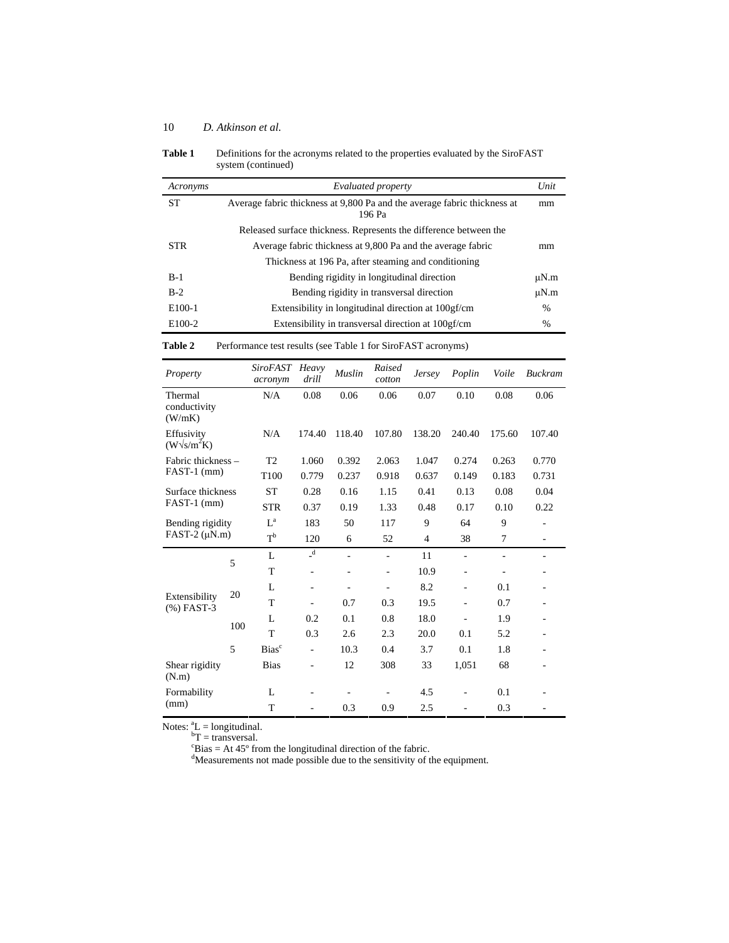**Table 1** Definitions for the acronyms related to the properties evaluated by the SiroFAST system (continued)

| Acronyms                                                          | Evaluated property                                          |                                                                                    |                |        |                          | Unit          |           |                          |                          |
|-------------------------------------------------------------------|-------------------------------------------------------------|------------------------------------------------------------------------------------|----------------|--------|--------------------------|---------------|-----------|--------------------------|--------------------------|
| ST                                                                |                                                             | Average fabric thickness at 9,800 Pa and the average fabric thickness at<br>196 Pa |                |        |                          |               | mm        |                          |                          |
| Released surface thickness. Represents the difference between the |                                                             |                                                                                    |                |        |                          |               |           |                          |                          |
| <b>STR</b>                                                        | Average fabric thickness at 9,800 Pa and the average fabric |                                                                                    |                | mm     |                          |               |           |                          |                          |
|                                                                   | Thickness at 196 Pa, after steaming and conditioning        |                                                                                    |                |        |                          |               |           |                          |                          |
| $B-1$                                                             |                                                             | Bending rigidity in longitudinal direction                                         |                |        |                          |               | μN.m      |                          |                          |
| $B-2$                                                             |                                                             | Bending rigidity in transversal direction                                          |                |        |                          |               | $\mu$ N.m |                          |                          |
| E100-1                                                            |                                                             | Extensibility in longitudinal direction at 100gf/cm                                |                |        |                          |               | %         |                          |                          |
| E100-2                                                            | Extensibility in transversal direction at 100gf/cm          |                                                                                    |                |        | $\frac{0}{0}$            |               |           |                          |                          |
| Table 2                                                           |                                                             | Performance test results (see Table 1 for SiroFAST acronyms)                       |                |        |                          |               |           |                          |                          |
| Property                                                          |                                                             | <i><b>SiroFAST</b></i><br>acronym                                                  | Heavy<br>drill | Muslin | Raised<br>cotton         | <b>Jersey</b> | Poplin    | Voile                    | <b>Buckram</b>           |
| Thermal<br>conductivity<br>(W/mK)                                 |                                                             | N/A                                                                                | 0.08           | 0.06   | 0.06                     | 0.07          | 0.10      | 0.08                     | 0.06                     |
| Effusivity<br>$(W\sqrt{s}/m^2K)$                                  |                                                             | N/A                                                                                | 174.40         | 118.40 | 107.80                   | 138.20        | 240.40    | 175.60                   | 107.40                   |
| Fabric thickness -<br>$FAST-1 (mm)$                               |                                                             | T <sub>2</sub>                                                                     | 1.060          | 0.392  | 2.063                    | 1.047         | 0.274     | 0.263                    | 0.770                    |
|                                                                   |                                                             | T <sub>100</sub>                                                                   | 0.779          | 0.237  | 0.918                    | 0.637         | 0.149     | 0.183                    | 0.731                    |
| Surface thickness<br>$FAST-1 (mm)$                                |                                                             | <b>ST</b>                                                                          | 0.28           | 0.16   | 1.15                     | 0.41          | 0.13      | 0.08                     | 0.04                     |
|                                                                   |                                                             | STR                                                                                | 0.37           | 0.19   | 1.33                     | 0.48          | 0.17      | 0.10                     | 0.22                     |
| Bending rigidity<br>FAST-2 $(\mu N.m)$                            |                                                             | $L^a$                                                                              | 183            | 50     | 117                      | 9             | 64        | 9                        | L.                       |
|                                                                   |                                                             | $T^b$                                                                              | 120            | 6      | 52                       | 4             | 38        | 7                        | -                        |
|                                                                   | 5                                                           | L                                                                                  | $\mathbf{d}$   | -      | ÷,                       | 11            | -         | $\blacksquare$           | $\overline{\phantom{0}}$ |
|                                                                   |                                                             | T                                                                                  | $\sim$         | ä,     | $\overline{\phantom{a}}$ | 10.9          | ä,        | $\overline{\phantom{a}}$ |                          |
|                                                                   | 20                                                          | L                                                                                  |                |        |                          | 8.2           | ä,        | 0.1                      |                          |
| Extensibility<br>$(%)$ FAST-3                                     |                                                             | т                                                                                  | $\sim$         | 0.7    | 0.3                      | 19.5          | ä,        | 0.7                      |                          |
|                                                                   | 100                                                         | L                                                                                  | 0.2            | 0.1    | 0.8                      | 18.0          |           | 1.9                      |                          |
|                                                                   |                                                             | T                                                                                  | 0.3            | 2.6    | 2.3                      | 20.0          | 0.1       | 5.2                      |                          |
|                                                                   | 5                                                           | Bias <sup>c</sup>                                                                  | $\sim$         | 10.3   | 0.4                      | 3.7           | 0.1       | 1.8                      |                          |
| Shear rigidity<br>(N.m)                                           |                                                             | <b>Bias</b>                                                                        | $\bar{a}$      | 12     | 308                      | 33            | 1,051     | 68                       | L,                       |
| Formability                                                       |                                                             | L                                                                                  |                | ÷,     |                          | 4.5           |           | 0.1                      |                          |
| (mm)                                                              |                                                             | T                                                                                  |                | 0.3    | 0.9                      | 2.5           | ÷         | 0.3                      | ÷,                       |

Notes:  ${}^{a}L$  = longitudinal.<br>  ${}^{b}T$  = transversal.<br>  ${}^{c}Bias = At 45°$  from the longitudinal direction of the fabric.<br>  ${}^{d}$ Measurements not made possible due to the sensitivity of the equipment.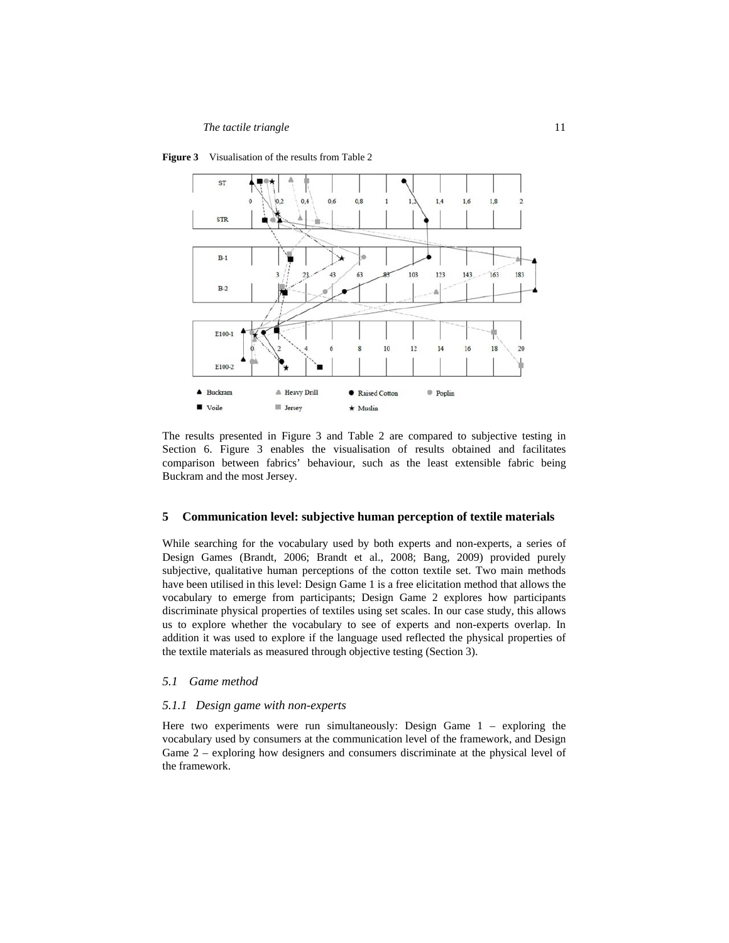

**Figure 3** Visualisation of the results from Table 2

The results presented in Figure 3 and Table 2 are compared to subjective testing in Section 6. Figure 3 enables the visualisation of results obtained and facilitates comparison between fabrics' behaviour, such as the least extensible fabric being Buckram and the most Jersey.

# **5 Communication level: subjective human perception of textile materials**

While searching for the vocabulary used by both experts and non-experts, a series of Design Games (Brandt, 2006; Brandt et al., 2008; Bang, 2009) provided purely subjective, qualitative human perceptions of the cotton textile set. Two main methods have been utilised in this level: Design Game 1 is a free elicitation method that allows the vocabulary to emerge from participants; Design Game 2 explores how participants discriminate physical properties of textiles using set scales. In our case study, this allows us to explore whether the vocabulary to see of experts and non-experts overlap. In addition it was used to explore if the language used reflected the physical properties of the textile materials as measured through objective testing (Section 3).

#### *5.1 Game method*

#### *5.1.1 Design game with non-experts*

Here two experiments were run simultaneously: Design Game  $1 -$  exploring the vocabulary used by consumers at the communication level of the framework, and Design Game 2 – exploring how designers and consumers discriminate at the physical level of the framework.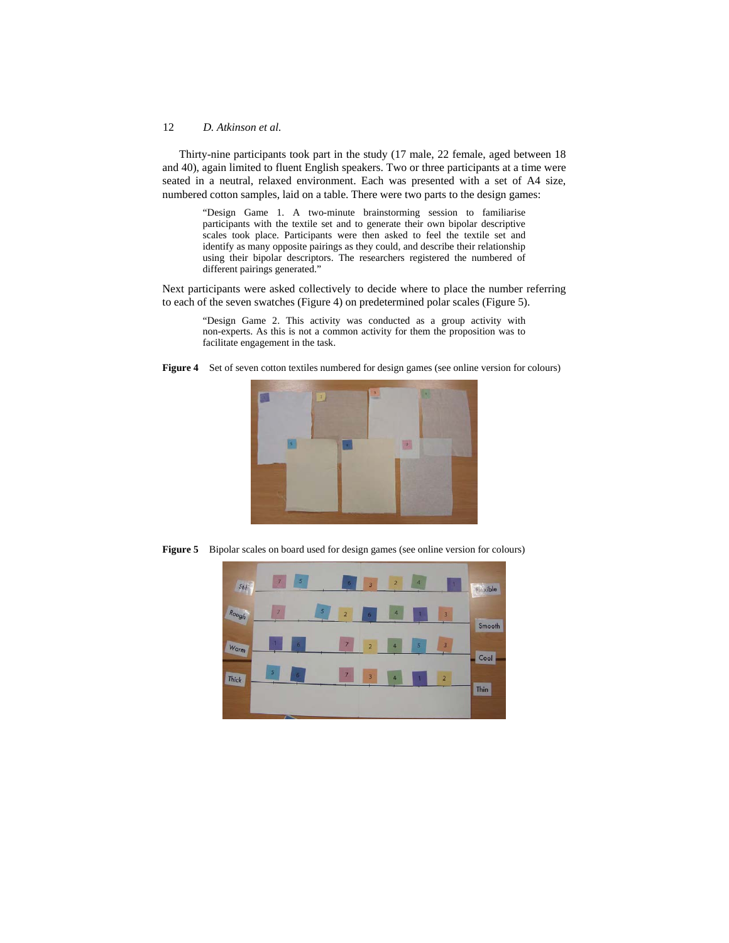Thirty-nine participants took part in the study (17 male, 22 female, aged between 18 and 40), again limited to fluent English speakers. Two or three participants at a time were seated in a neutral, relaxed environment. Each was presented with a set of A4 size, numbered cotton samples, laid on a table. There were two parts to the design games:

> "Design Game 1. A two-minute brainstorming session to familiarise participants with the textile set and to generate their own bipolar descriptive scales took place. Participants were then asked to feel the textile set and identify as many opposite pairings as they could, and describe their relationship using their bipolar descriptors. The researchers registered the numbered of different pairings generated."

Next participants were asked collectively to decide where to place the number referring to each of the seven swatches (Figure 4) on predetermined polar scales (Figure 5).

> "Design Game 2. This activity was conducted as a group activity with non-experts. As this is not a common activity for them the proposition was to facilitate engagement in the task.

**Figure 4** Set of seven cotton textiles numbered for design games (see online version for colours)



**Figure 5** Bipolar scales on board used for design games (see online version for colours)

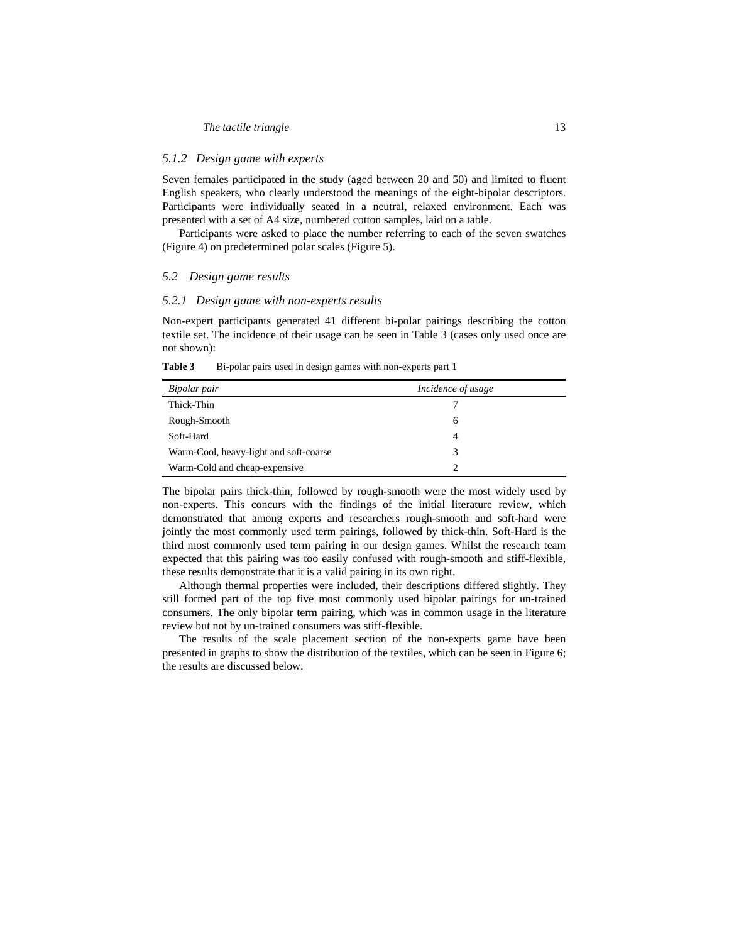# *5.1.2 Design game with experts*

Seven females participated in the study (aged between 20 and 50) and limited to fluent English speakers, who clearly understood the meanings of the eight-bipolar descriptors. Participants were individually seated in a neutral, relaxed environment. Each was presented with a set of A4 size, numbered cotton samples, laid on a table.

Participants were asked to place the number referring to each of the seven swatches (Figure 4) on predetermined polar scales (Figure 5).

#### *5.2 Design game results*

#### *5.2.1 Design game with non-experts results*

Non-expert participants generated 41 different bi-polar pairings describing the cotton textile set. The incidence of their usage can be seen in Table 3 (cases only used once are not shown):

Table 3 Bi-polar pairs used in design games with non-experts part 1

| Bipolar pair                           | Incidence of usage |
|----------------------------------------|--------------------|
| Thick-Thin                             |                    |
| Rough-Smooth                           | 6                  |
| Soft-Hard                              | 4                  |
| Warm-Cool, heavy-light and soft-coarse | 3                  |
| Warm-Cold and cheap-expensive          |                    |

The bipolar pairs thick-thin, followed by rough-smooth were the most widely used by non-experts. This concurs with the findings of the initial literature review, which demonstrated that among experts and researchers rough-smooth and soft-hard were jointly the most commonly used term pairings, followed by thick-thin. Soft-Hard is the third most commonly used term pairing in our design games. Whilst the research team expected that this pairing was too easily confused with rough-smooth and stiff-flexible, these results demonstrate that it is a valid pairing in its own right.

Although thermal properties were included, their descriptions differed slightly. They still formed part of the top five most commonly used bipolar pairings for un-trained consumers. The only bipolar term pairing, which was in common usage in the literature review but not by un-trained consumers was stiff-flexible.

The results of the scale placement section of the non-experts game have been presented in graphs to show the distribution of the textiles, which can be seen in Figure 6; the results are discussed below.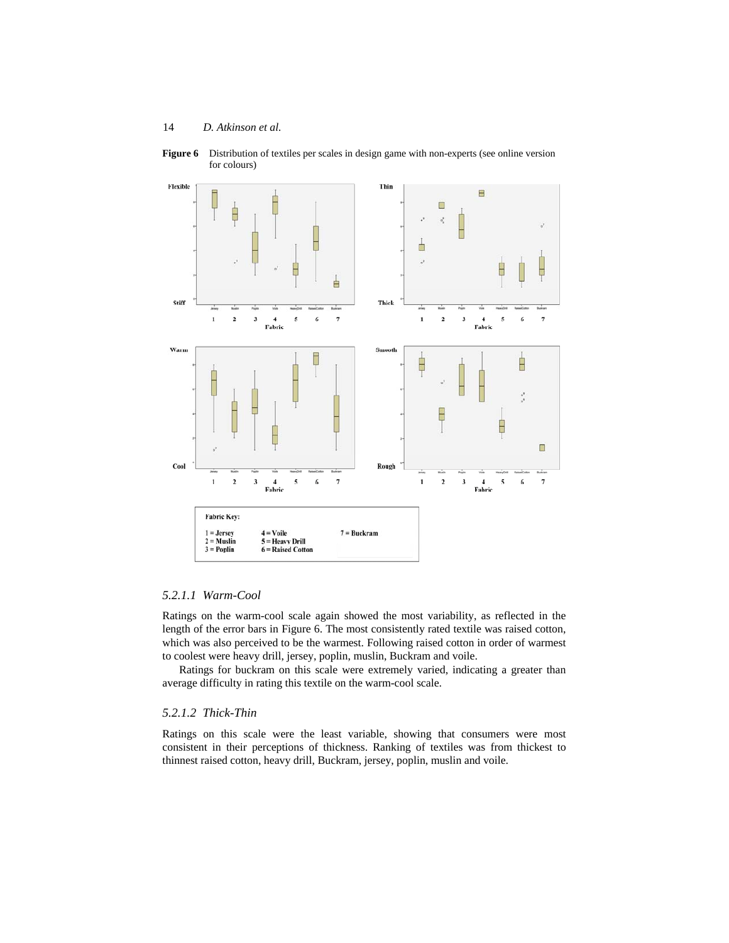

**Figure 6** Distribution of textiles per scales in design game with non-experts (see online version for colours)

# *5.2.1.1 Warm-Cool*

Ratings on the warm-cool scale again showed the most variability, as reflected in the length of the error bars in Figure 6. The most consistently rated textile was raised cotton, which was also perceived to be the warmest. Following raised cotton in order of warmest to coolest were heavy drill, jersey, poplin, muslin, Buckram and voile.

Ratings for buckram on this scale were extremely varied, indicating a greater than average difficulty in rating this textile on the warm-cool scale.

# *5.2.1.2 Thick-Thin*

Ratings on this scale were the least variable, showing that consumers were most consistent in their perceptions of thickness. Ranking of textiles was from thickest to thinnest raised cotton, heavy drill, Buckram, jersey, poplin, muslin and voile.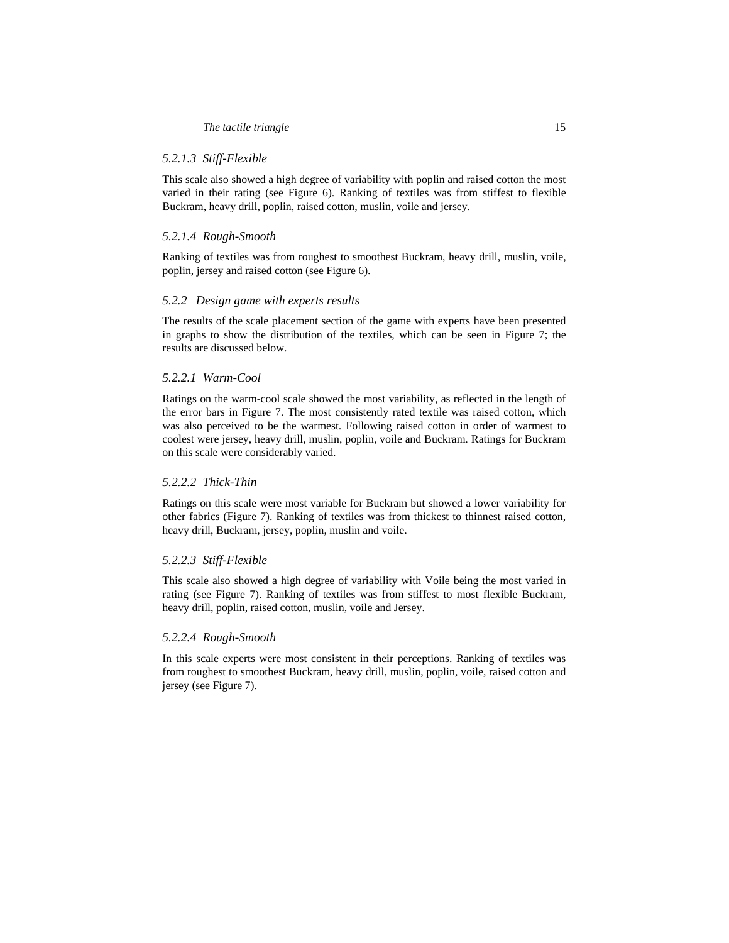# *5.2.1.3 Stiff-Flexible*

This scale also showed a high degree of variability with poplin and raised cotton the most varied in their rating (see Figure 6). Ranking of textiles was from stiffest to flexible Buckram, heavy drill, poplin, raised cotton, muslin, voile and jersey.

# *5.2.1.4 Rough-Smooth*

Ranking of textiles was from roughest to smoothest Buckram, heavy drill, muslin, voile, poplin, jersey and raised cotton (see Figure 6).

#### *5.2.2 Design game with experts results*

The results of the scale placement section of the game with experts have been presented in graphs to show the distribution of the textiles, which can be seen in Figure 7; the results are discussed below.

# *5.2.2.1 Warm-Cool*

Ratings on the warm-cool scale showed the most variability, as reflected in the length of the error bars in Figure 7. The most consistently rated textile was raised cotton, which was also perceived to be the warmest. Following raised cotton in order of warmest to coolest were jersey, heavy drill, muslin, poplin, voile and Buckram. Ratings for Buckram on this scale were considerably varied.

#### *5.2.2.2 Thick-Thin*

Ratings on this scale were most variable for Buckram but showed a lower variability for other fabrics (Figure 7). Ranking of textiles was from thickest to thinnest raised cotton, heavy drill, Buckram, jersey, poplin, muslin and voile.

# *5.2.2.3 Stiff-Flexible*

This scale also showed a high degree of variability with Voile being the most varied in rating (see Figure 7). Ranking of textiles was from stiffest to most flexible Buckram, heavy drill, poplin, raised cotton, muslin, voile and Jersey.

#### *5.2.2.4 Rough-Smooth*

In this scale experts were most consistent in their perceptions. Ranking of textiles was from roughest to smoothest Buckram, heavy drill, muslin, poplin, voile, raised cotton and jersey (see Figure 7).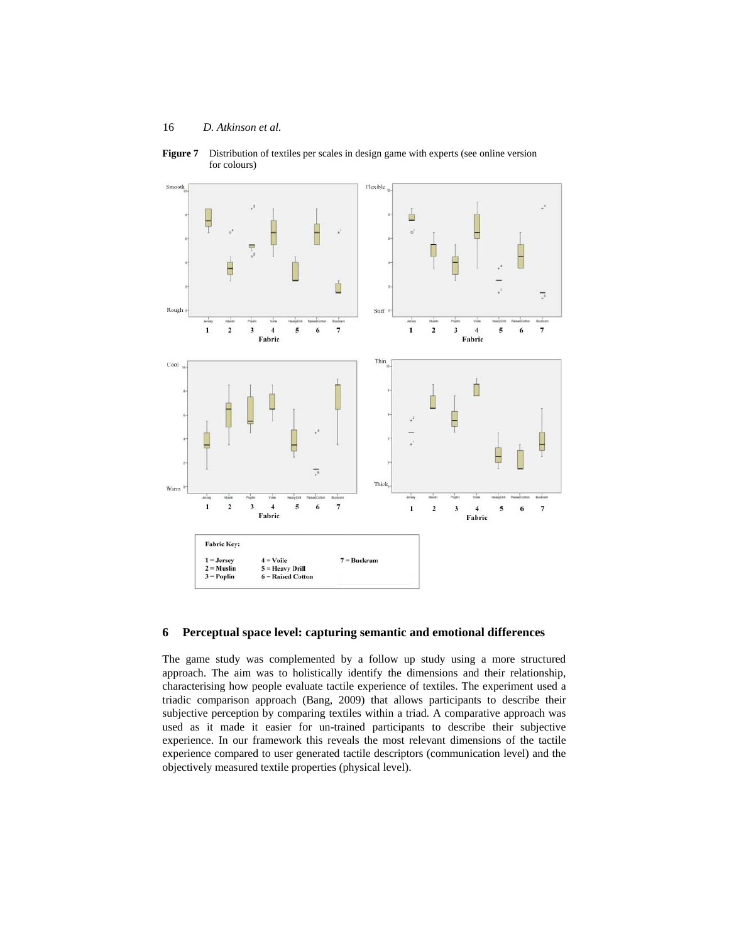

**Figure 7** Distribution of textiles per scales in design game with experts (see online version for colours)

#### **6 Perceptual space level: capturing semantic and emotional differences**

The game study was complemented by a follow up study using a more structured approach. The aim was to holistically identify the dimensions and their relationship, characterising how people evaluate tactile experience of textiles. The experiment used a triadic comparison approach (Bang, 2009) that allows participants to describe their subjective perception by comparing textiles within a triad. A comparative approach was used as it made it easier for un-trained participants to describe their subjective experience. In our framework this reveals the most relevant dimensions of the tactile experience compared to user generated tactile descriptors (communication level) and the objectively measured textile properties (physical level).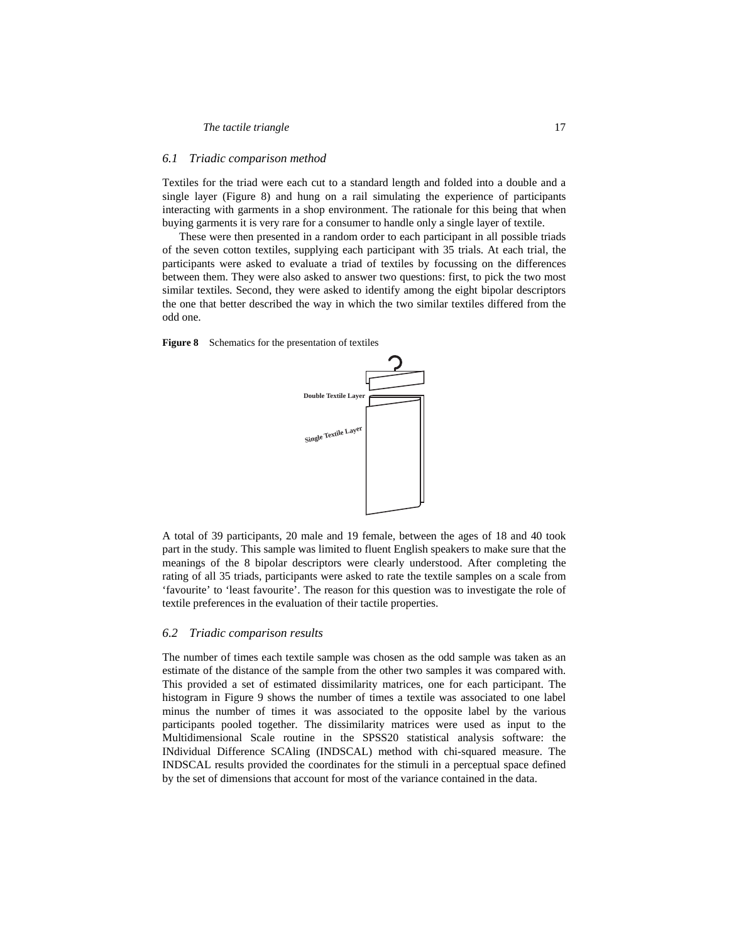# *6.1 Triadic comparison method*

Textiles for the triad were each cut to a standard length and folded into a double and a single layer (Figure 8) and hung on a rail simulating the experience of participants interacting with garments in a shop environment. The rationale for this being that when buying garments it is very rare for a consumer to handle only a single layer of textile.

These were then presented in a random order to each participant in all possible triads of the seven cotton textiles, supplying each participant with 35 trials. At each trial, the participants were asked to evaluate a triad of textiles by focussing on the differences between them. They were also asked to answer two questions: first, to pick the two most similar textiles. Second, they were asked to identify among the eight bipolar descriptors the one that better described the way in which the two similar textiles differed from the odd one.

**Figure 8** Schematics for the presentation of textiles



A total of 39 participants, 20 male and 19 female, between the ages of 18 and 40 took part in the study. This sample was limited to fluent English speakers to make sure that the meanings of the 8 bipolar descriptors were clearly understood. After completing the rating of all 35 triads, participants were asked to rate the textile samples on a scale from 'favourite' to 'least favourite'. The reason for this question was to investigate the role of textile preferences in the evaluation of their tactile properties.

#### *6.2 Triadic comparison results*

The number of times each textile sample was chosen as the odd sample was taken as an estimate of the distance of the sample from the other two samples it was compared with. This provided a set of estimated dissimilarity matrices, one for each participant. The histogram in Figure 9 shows the number of times a textile was associated to one label minus the number of times it was associated to the opposite label by the various participants pooled together. The dissimilarity matrices were used as input to the Multidimensional Scale routine in the SPSS20 statistical analysis software: the INdividual Difference SCAling (INDSCAL) method with chi-squared measure. The INDSCAL results provided the coordinates for the stimuli in a perceptual space defined by the set of dimensions that account for most of the variance contained in the data.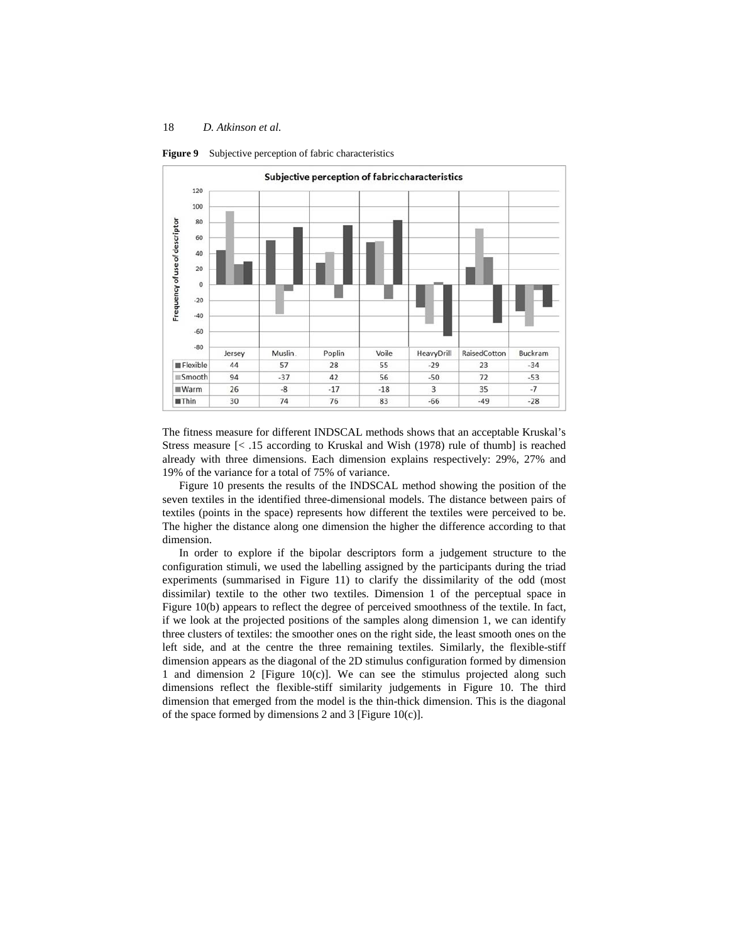

**Figure 9** Subjective perception of fabric characteristics

The fitness measure for different INDSCAL methods shows that an acceptable Kruskal's Stress measure [< .15 according to Kruskal and Wish (1978) rule of thumb] is reached already with three dimensions. Each dimension explains respectively: 29%, 27% and 19% of the variance for a total of 75% of variance.

Figure 10 presents the results of the INDSCAL method showing the position of the seven textiles in the identified three-dimensional models. The distance between pairs of textiles (points in the space) represents how different the textiles were perceived to be. The higher the distance along one dimension the higher the difference according to that dimension.

In order to explore if the bipolar descriptors form a judgement structure to the configuration stimuli, we used the labelling assigned by the participants during the triad experiments (summarised in Figure 11) to clarify the dissimilarity of the odd (most dissimilar) textile to the other two textiles. Dimension 1 of the perceptual space in Figure 10(b) appears to reflect the degree of perceived smoothness of the textile. In fact, if we look at the projected positions of the samples along dimension 1, we can identify three clusters of textiles: the smoother ones on the right side, the least smooth ones on the left side, and at the centre the three remaining textiles. Similarly, the flexible-stiff dimension appears as the diagonal of the 2D stimulus configuration formed by dimension 1 and dimension 2 [Figure 10(c)]. We can see the stimulus projected along such dimensions reflect the flexible-stiff similarity judgements in Figure 10. The third dimension that emerged from the model is the thin-thick dimension. This is the diagonal of the space formed by dimensions 2 and 3 [Figure 10(c)].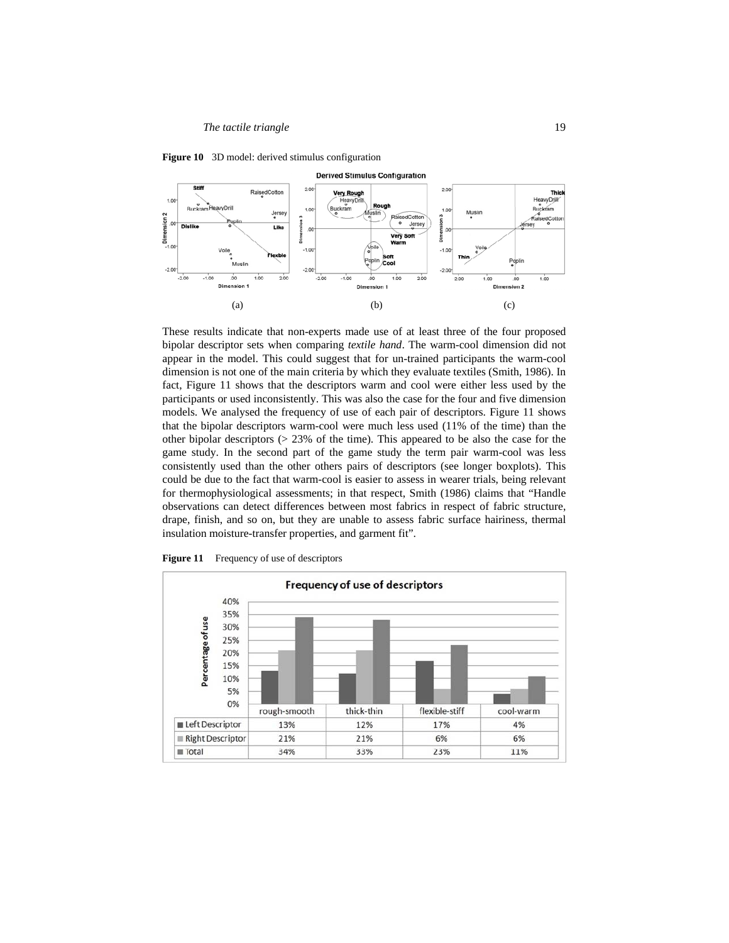

Figure 10 3D model: derived stimulus configuration

These results indicate that non-experts made use of at least three of the four proposed bipolar descriptor sets when comparing *textile hand*. The warm-cool dimension did not appear in the model. This could suggest that for un-trained participants the warm-cool dimension is not one of the main criteria by which they evaluate textiles (Smith, 1986). In fact, Figure 11 shows that the descriptors warm and cool were either less used by the participants or used inconsistently. This was also the case for the four and five dimension models. We analysed the frequency of use of each pair of descriptors. Figure 11 shows that the bipolar descriptors warm-cool were much less used (11% of the time) than the other bipolar descriptors (> 23% of the time). This appeared to be also the case for the game study. In the second part of the game study the term pair warm-cool was less consistently used than the other others pairs of descriptors (see longer boxplots). This could be due to the fact that warm-cool is easier to assess in wearer trials, being relevant for thermophysiological assessments; in that respect, Smith (1986) claims that "Handle observations can detect differences between most fabrics in respect of fabric structure, drape, finish, and so on, but they are unable to assess fabric surface hairiness, thermal insulation moisture-transfer properties, and garment fit".

Figure 11 Frequency of use of descriptors

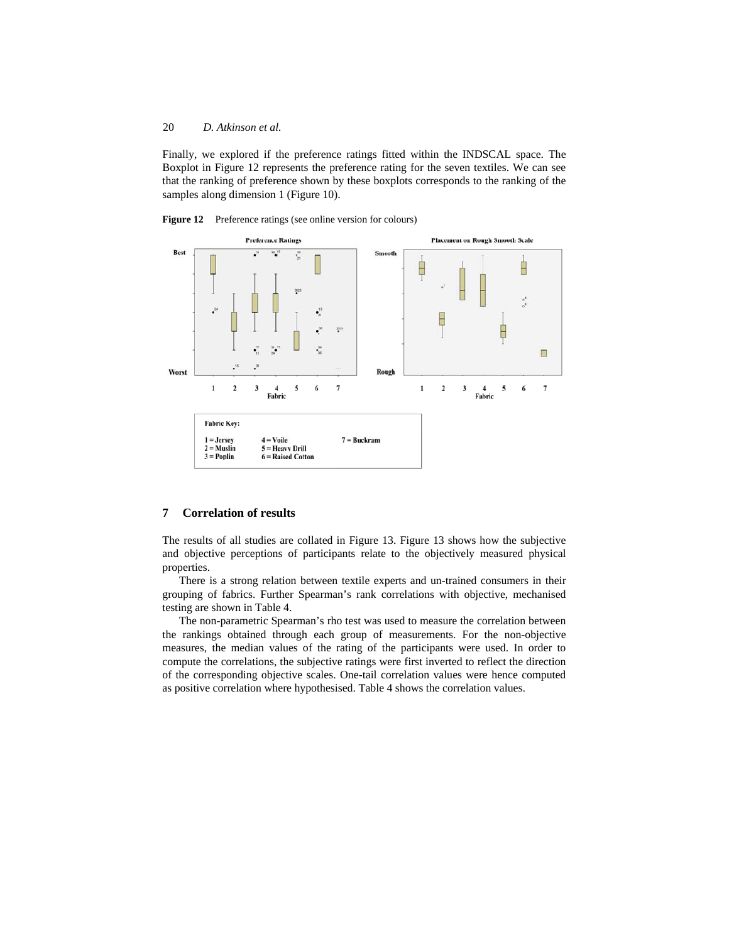Finally, we explored if the preference ratings fitted within the INDSCAL space. The Boxplot in Figure 12 represents the preference rating for the seven textiles. We can see that the ranking of preference shown by these boxplots corresponds to the ranking of the samples along dimension 1 (Figure 10).

**Figure 12** Preference ratings (see online version for colours)



# **7 Correlation of results**

The results of all studies are collated in Figure 13. Figure 13 shows how the subjective and objective perceptions of participants relate to the objectively measured physical properties.

There is a strong relation between textile experts and un-trained consumers in their grouping of fabrics. Further Spearman's rank correlations with objective, mechanised testing are shown in Table 4.

The non-parametric Spearman's rho test was used to measure the correlation between the rankings obtained through each group of measurements. For the non-objective measures, the median values of the rating of the participants were used. In order to compute the correlations, the subjective ratings were first inverted to reflect the direction of the corresponding objective scales. One-tail correlation values were hence computed as positive correlation where hypothesised. Table 4 shows the correlation values.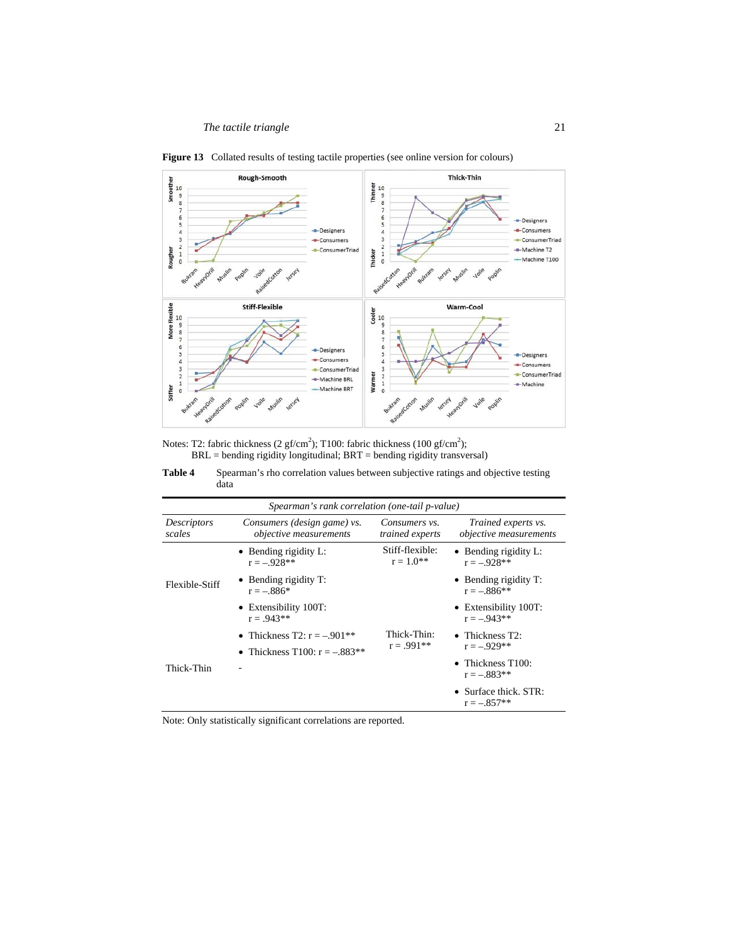

**Figure 13** Collated results of testing tactile properties (see online version for colours)

Notes: T2: fabric thickness (2 gf/cm<sup>2</sup>); T100: fabric thickness (100 gf/cm<sup>2</sup>);  $BRL =$  bending rigidity longitudinal;  $BRT =$  bending rigidity transversal)

Table 4 Spearman's rho correlation values between subjective ratings and objective testing data

| Spearman's rank correlation (one-tail p-value) |                                                                  |                                  |                                                      |  |  |
|------------------------------------------------|------------------------------------------------------------------|----------------------------------|------------------------------------------------------|--|--|
| Descriptors<br>scales                          | Consumers (design game) vs.<br><i>objective measurements</i>     | Consumers vs.<br>trained experts | Trained experts vs.<br><i>objective measurements</i> |  |  |
| Flexible-Stiff                                 | • Bending rigidity $L$ :<br>$r = -.928**$                        | Stiff-flexible:<br>$r = 1.0$ **  | • Bending rigidity $L$ :<br>$r = -0.928**$           |  |  |
|                                                | $\bullet$ Bending rigidity T:<br>$r = -.886*$                    |                                  | $\bullet$ Bending rigidity T:<br>$r = -.886**$       |  |  |
|                                                | • Extensibility 100T:<br>$r = .943**$                            |                                  | $\bullet$ Extensibility 100T:<br>$r = -0.943**$      |  |  |
| Thick-Thin                                     | • Thickness T2: $r = -.901**$<br>• Thickness T100: $r = -.883**$ | Thick-Thin:<br>$r = .991**$      | $\bullet$ Thickness T2:<br>$r = -.929**$             |  |  |
|                                                |                                                                  |                                  | $\bullet$ Thickness T100:<br>$r = -.883**$           |  |  |
|                                                |                                                                  |                                  | • Surface thick, $STR$ :<br>$r = -.857**$            |  |  |

Note: Only statistically significant correlations are reported.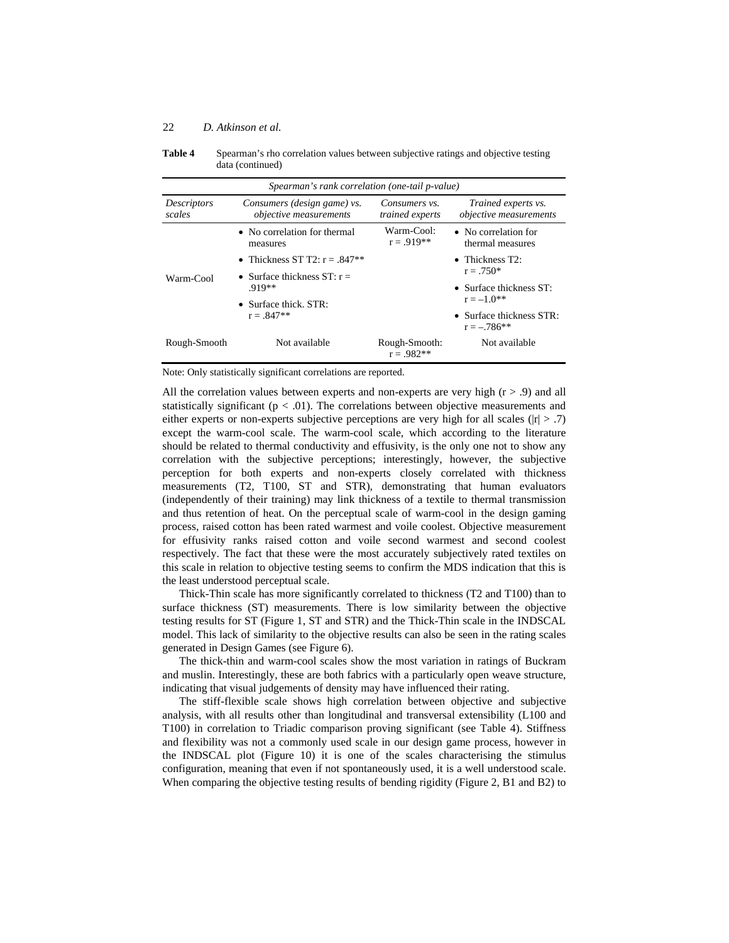#### **Table 4** Spearman's rho correlation values between subjective ratings and objective testing data (continued)

| Spearman's rank correlation (one-tail p-value) |                                                              |                                  |                                                      |  |  |  |
|------------------------------------------------|--------------------------------------------------------------|----------------------------------|------------------------------------------------------|--|--|--|
| <b>Descriptors</b><br>scales                   | Consumers (design game) vs.<br><i>objective measurements</i> | Consumers vs.<br>trained experts | Trained experts vs.<br><i>objective measurements</i> |  |  |  |
| Warm-Cool                                      | • No correlation for thermal<br>measures                     | Warm-Cool:<br>$r = .919**$       | • No correlation for<br>thermal measures             |  |  |  |
|                                                | • Thickness ST T2: $r = .847**$                              |                                  | $\bullet$ Thickness T <sub>2</sub> :                 |  |  |  |
|                                                | • Surface thickness $ST: r =$                                |                                  | $r = .750*$                                          |  |  |  |
|                                                | $.919**$                                                     |                                  | $\bullet$ Surface thickness ST:                      |  |  |  |
|                                                | • Surface thick, $STR:$                                      |                                  | $r = -1.0$ **                                        |  |  |  |
|                                                | $r = .847**$                                                 |                                  | • Surface thickness STR:<br>$r = -.786**$            |  |  |  |
| Rough-Smooth                                   | Not available                                                | Rough-Smooth:<br>$r = .982**$    | Not available                                        |  |  |  |

Note: Only statistically significant correlations are reported.

All the correlation values between experts and non-experts are very high  $(r > .9)$  and all statistically significant ( $p < .01$ ). The correlations between objective measurements and either experts or non-experts subjective perceptions are very high for all scales ( $|r| > .7$ ) except the warm-cool scale. The warm-cool scale, which according to the literature should be related to thermal conductivity and effusivity, is the only one not to show any correlation with the subjective perceptions; interestingly, however, the subjective perception for both experts and non-experts closely correlated with thickness measurements (T2, T100, ST and STR), demonstrating that human evaluators (independently of their training) may link thickness of a textile to thermal transmission and thus retention of heat. On the perceptual scale of warm-cool in the design gaming process, raised cotton has been rated warmest and voile coolest. Objective measurement for effusivity ranks raised cotton and voile second warmest and second coolest respectively. The fact that these were the most accurately subjectively rated textiles on this scale in relation to objective testing seems to confirm the MDS indication that this is the least understood perceptual scale.

Thick-Thin scale has more significantly correlated to thickness (T2 and T100) than to surface thickness (ST) measurements. There is low similarity between the objective testing results for ST (Figure 1, ST and STR) and the Thick-Thin scale in the INDSCAL model. This lack of similarity to the objective results can also be seen in the rating scales generated in Design Games (see Figure 6).

The thick-thin and warm-cool scales show the most variation in ratings of Buckram and muslin. Interestingly, these are both fabrics with a particularly open weave structure, indicating that visual judgements of density may have influenced their rating.

The stiff-flexible scale shows high correlation between objective and subjective analysis, with all results other than longitudinal and transversal extensibility (L100 and T100) in correlation to Triadic comparison proving significant (see Table 4). Stiffness and flexibility was not a commonly used scale in our design game process, however in the INDSCAL plot (Figure 10) it is one of the scales characterising the stimulus configuration, meaning that even if not spontaneously used, it is a well understood scale. When comparing the objective testing results of bending rigidity (Figure 2, B1 and B2) to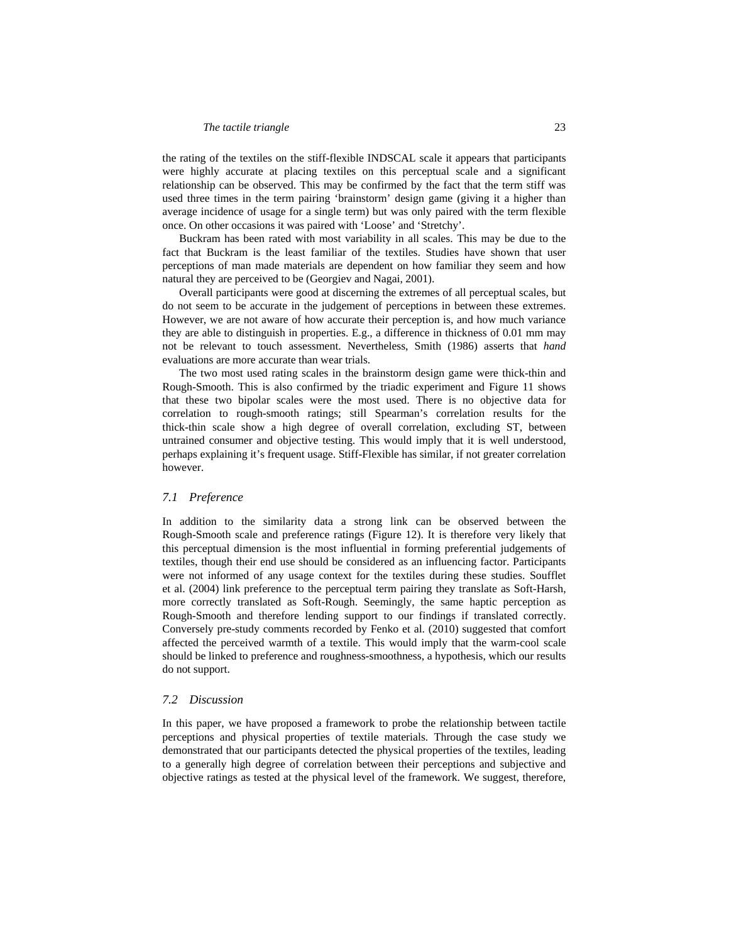the rating of the textiles on the stiff-flexible INDSCAL scale it appears that participants were highly accurate at placing textiles on this perceptual scale and a significant relationship can be observed. This may be confirmed by the fact that the term stiff was used three times in the term pairing 'brainstorm' design game (giving it a higher than average incidence of usage for a single term) but was only paired with the term flexible once. On other occasions it was paired with 'Loose' and 'Stretchy'.

Buckram has been rated with most variability in all scales. This may be due to the fact that Buckram is the least familiar of the textiles. Studies have shown that user perceptions of man made materials are dependent on how familiar they seem and how natural they are perceived to be (Georgiev and Nagai, 2001).

Overall participants were good at discerning the extremes of all perceptual scales, but do not seem to be accurate in the judgement of perceptions in between these extremes. However, we are not aware of how accurate their perception is, and how much variance they are able to distinguish in properties. E.g., a difference in thickness of 0.01 mm may not be relevant to touch assessment. Nevertheless, Smith (1986) asserts that *hand* evaluations are more accurate than wear trials.

The two most used rating scales in the brainstorm design game were thick-thin and Rough-Smooth. This is also confirmed by the triadic experiment and Figure 11 shows that these two bipolar scales were the most used. There is no objective data for correlation to rough-smooth ratings; still Spearman's correlation results for the thick-thin scale show a high degree of overall correlation, excluding ST, between untrained consumer and objective testing. This would imply that it is well understood, perhaps explaining it's frequent usage. Stiff-Flexible has similar, if not greater correlation however.

# *7.1 Preference*

In addition to the similarity data a strong link can be observed between the Rough-Smooth scale and preference ratings (Figure 12). It is therefore very likely that this perceptual dimension is the most influential in forming preferential judgements of textiles, though their end use should be considered as an influencing factor. Participants were not informed of any usage context for the textiles during these studies. Soufflet et al. (2004) link preference to the perceptual term pairing they translate as Soft-Harsh, more correctly translated as Soft-Rough. Seemingly, the same haptic perception as Rough-Smooth and therefore lending support to our findings if translated correctly. Conversely pre-study comments recorded by Fenko et al. (2010) suggested that comfort affected the perceived warmth of a textile. This would imply that the warm-cool scale should be linked to preference and roughness-smoothness, a hypothesis, which our results do not support.

#### *7.2 Discussion*

In this paper, we have proposed a framework to probe the relationship between tactile perceptions and physical properties of textile materials. Through the case study we demonstrated that our participants detected the physical properties of the textiles, leading to a generally high degree of correlation between their perceptions and subjective and objective ratings as tested at the physical level of the framework. We suggest, therefore,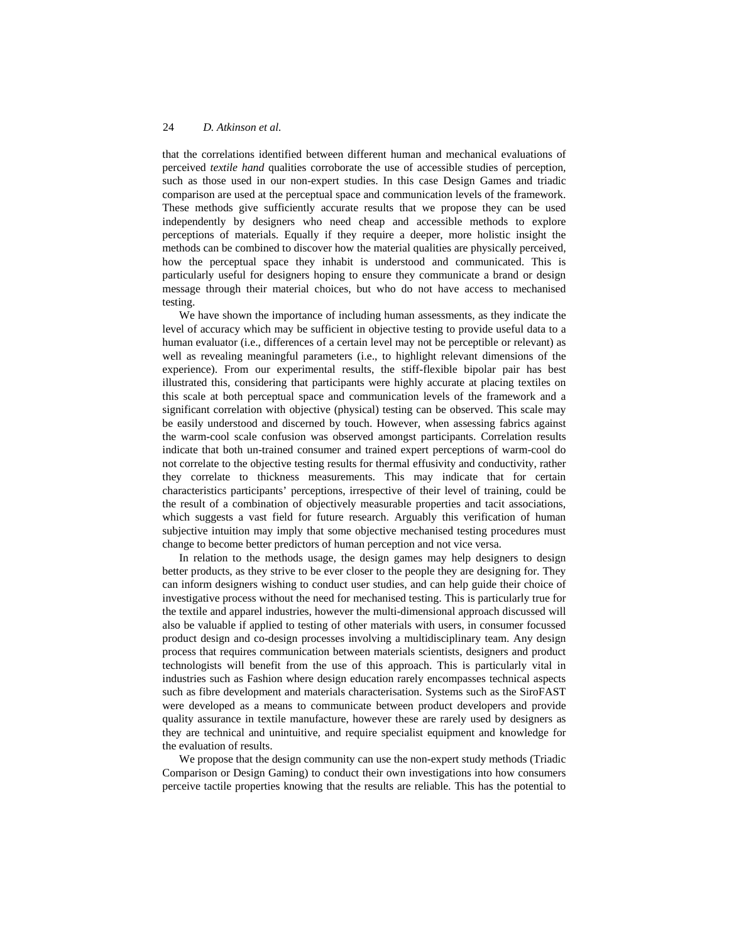that the correlations identified between different human and mechanical evaluations of perceived *textile hand* qualities corroborate the use of accessible studies of perception, such as those used in our non-expert studies. In this case Design Games and triadic comparison are used at the perceptual space and communication levels of the framework. These methods give sufficiently accurate results that we propose they can be used independently by designers who need cheap and accessible methods to explore perceptions of materials. Equally if they require a deeper, more holistic insight the methods can be combined to discover how the material qualities are physically perceived, how the perceptual space they inhabit is understood and communicated. This is particularly useful for designers hoping to ensure they communicate a brand or design message through their material choices, but who do not have access to mechanised testing.

We have shown the importance of including human assessments, as they indicate the level of accuracy which may be sufficient in objective testing to provide useful data to a human evaluator (i.e., differences of a certain level may not be perceptible or relevant) as well as revealing meaningful parameters (i.e., to highlight relevant dimensions of the experience). From our experimental results, the stiff-flexible bipolar pair has best illustrated this, considering that participants were highly accurate at placing textiles on this scale at both perceptual space and communication levels of the framework and a significant correlation with objective (physical) testing can be observed. This scale may be easily understood and discerned by touch. However, when assessing fabrics against the warm-cool scale confusion was observed amongst participants. Correlation results indicate that both un-trained consumer and trained expert perceptions of warm-cool do not correlate to the objective testing results for thermal effusivity and conductivity, rather they correlate to thickness measurements. This may indicate that for certain characteristics participants' perceptions, irrespective of their level of training, could be the result of a combination of objectively measurable properties and tacit associations, which suggests a vast field for future research. Arguably this verification of human subjective intuition may imply that some objective mechanised testing procedures must change to become better predictors of human perception and not vice versa.

In relation to the methods usage, the design games may help designers to design better products, as they strive to be ever closer to the people they are designing for. They can inform designers wishing to conduct user studies, and can help guide their choice of investigative process without the need for mechanised testing. This is particularly true for the textile and apparel industries, however the multi-dimensional approach discussed will also be valuable if applied to testing of other materials with users, in consumer focussed product design and co-design processes involving a multidisciplinary team. Any design process that requires communication between materials scientists, designers and product technologists will benefit from the use of this approach. This is particularly vital in industries such as Fashion where design education rarely encompasses technical aspects such as fibre development and materials characterisation. Systems such as the SiroFAST were developed as a means to communicate between product developers and provide quality assurance in textile manufacture, however these are rarely used by designers as they are technical and unintuitive, and require specialist equipment and knowledge for the evaluation of results.

We propose that the design community can use the non-expert study methods (Triadic Comparison or Design Gaming) to conduct their own investigations into how consumers perceive tactile properties knowing that the results are reliable. This has the potential to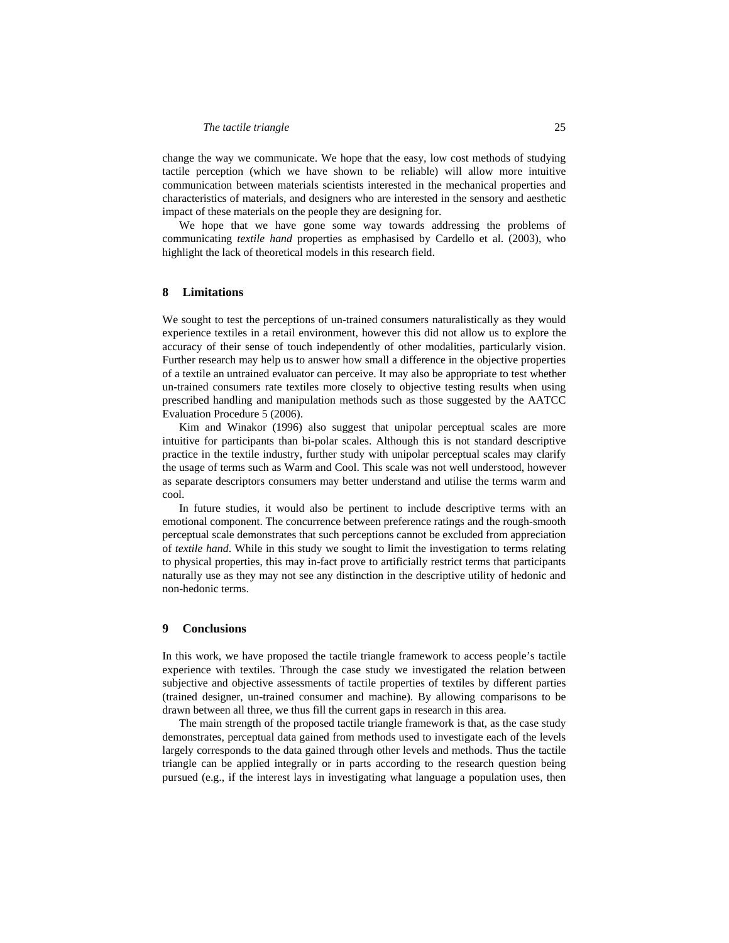change the way we communicate. We hope that the easy, low cost methods of studying tactile perception (which we have shown to be reliable) will allow more intuitive communication between materials scientists interested in the mechanical properties and characteristics of materials, and designers who are interested in the sensory and aesthetic impact of these materials on the people they are designing for.

We hope that we have gone some way towards addressing the problems of communicating *textile hand* properties as emphasised by Cardello et al. (2003), who highlight the lack of theoretical models in this research field.

#### **8 Limitations**

We sought to test the perceptions of un-trained consumers naturalistically as they would experience textiles in a retail environment, however this did not allow us to explore the accuracy of their sense of touch independently of other modalities, particularly vision. Further research may help us to answer how small a difference in the objective properties of a textile an untrained evaluator can perceive. It may also be appropriate to test whether un-trained consumers rate textiles more closely to objective testing results when using prescribed handling and manipulation methods such as those suggested by the AATCC Evaluation Procedure 5 (2006).

Kim and Winakor (1996) also suggest that unipolar perceptual scales are more intuitive for participants than bi-polar scales. Although this is not standard descriptive practice in the textile industry, further study with unipolar perceptual scales may clarify the usage of terms such as Warm and Cool. This scale was not well understood, however as separate descriptors consumers may better understand and utilise the terms warm and cool.

In future studies, it would also be pertinent to include descriptive terms with an emotional component. The concurrence between preference ratings and the rough-smooth perceptual scale demonstrates that such perceptions cannot be excluded from appreciation of *textile hand*. While in this study we sought to limit the investigation to terms relating to physical properties, this may in-fact prove to artificially restrict terms that participants naturally use as they may not see any distinction in the descriptive utility of hedonic and non-hedonic terms.

# **9 Conclusions**

In this work, we have proposed the tactile triangle framework to access people's tactile experience with textiles. Through the case study we investigated the relation between subjective and objective assessments of tactile properties of textiles by different parties (trained designer, un-trained consumer and machine). By allowing comparisons to be drawn between all three, we thus fill the current gaps in research in this area.

The main strength of the proposed tactile triangle framework is that, as the case study demonstrates, perceptual data gained from methods used to investigate each of the levels largely corresponds to the data gained through other levels and methods. Thus the tactile triangle can be applied integrally or in parts according to the research question being pursued (e.g., if the interest lays in investigating what language a population uses, then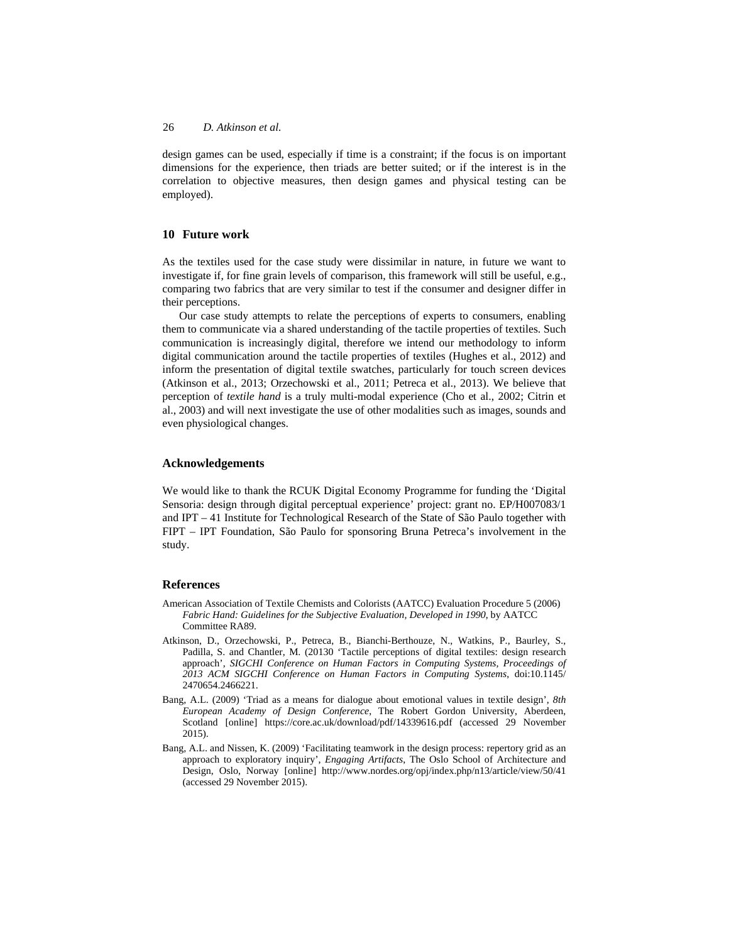design games can be used, especially if time is a constraint; if the focus is on important dimensions for the experience, then triads are better suited; or if the interest is in the correlation to objective measures, then design games and physical testing can be employed).

# **10 Future work**

As the textiles used for the case study were dissimilar in nature, in future we want to investigate if, for fine grain levels of comparison, this framework will still be useful, e.g., comparing two fabrics that are very similar to test if the consumer and designer differ in their perceptions.

Our case study attempts to relate the perceptions of experts to consumers, enabling them to communicate via a shared understanding of the tactile properties of textiles. Such communication is increasingly digital, therefore we intend our methodology to inform digital communication around the tactile properties of textiles (Hughes et al., 2012) and inform the presentation of digital textile swatches, particularly for touch screen devices (Atkinson et al., 2013; Orzechowski et al., 2011; Petreca et al., 2013). We believe that perception of *textile hand* is a truly multi-modal experience (Cho et al., 2002; Citrin et al., 2003) and will next investigate the use of other modalities such as images, sounds and even physiological changes.

#### **Acknowledgements**

We would like to thank the RCUK Digital Economy Programme for funding the 'Digital Sensoria: design through digital perceptual experience' project: grant no. EP/H007083/1 and IPT – 41 Institute for Technological Research of the State of São Paulo together with FIPT – IPT Foundation, São Paulo for sponsoring Bruna Petreca's involvement in the study.

#### **References**

- American Association of Textile Chemists and Colorists (AATCC) Evaluation Procedure 5 (2006) *Fabric Hand: Guidelines for the Subjective Evaluation, Developed in 1990*, by AATCC Committee RA89.
- Atkinson, D., Orzechowski, P., Petreca, B., Bianchi-Berthouze, N., Watkins, P., Baurley, S., Padilla, S. and Chantler, M. (20130 'Tactile perceptions of digital textiles: design research approach', *SIGCHI Conference on Human Factors in Computing Systems, Proceedings of 2013 ACM SIGCHI Conference on Human Factors in Computing Systems*, doi:10.1145/ 2470654.2466221.
- Bang, A.L. (2009) 'Triad as a means for dialogue about emotional values in textile design', *8th European Academy of Design Conference*, The Robert Gordon University, Aberdeen, Scotland [online] https://core.ac.uk/download/pdf/14339616.pdf (accessed 29 November 2015).
- Bang, A.L. and Nissen, K. (2009) 'Facilitating teamwork in the design process: repertory grid as an approach to exploratory inquiry', *Engaging Artifacts*, The Oslo School of Architecture and Design, Oslo, Norway [online] http://www.nordes.org/opj/index.php/n13/article/view/50/41 (accessed 29 November 2015).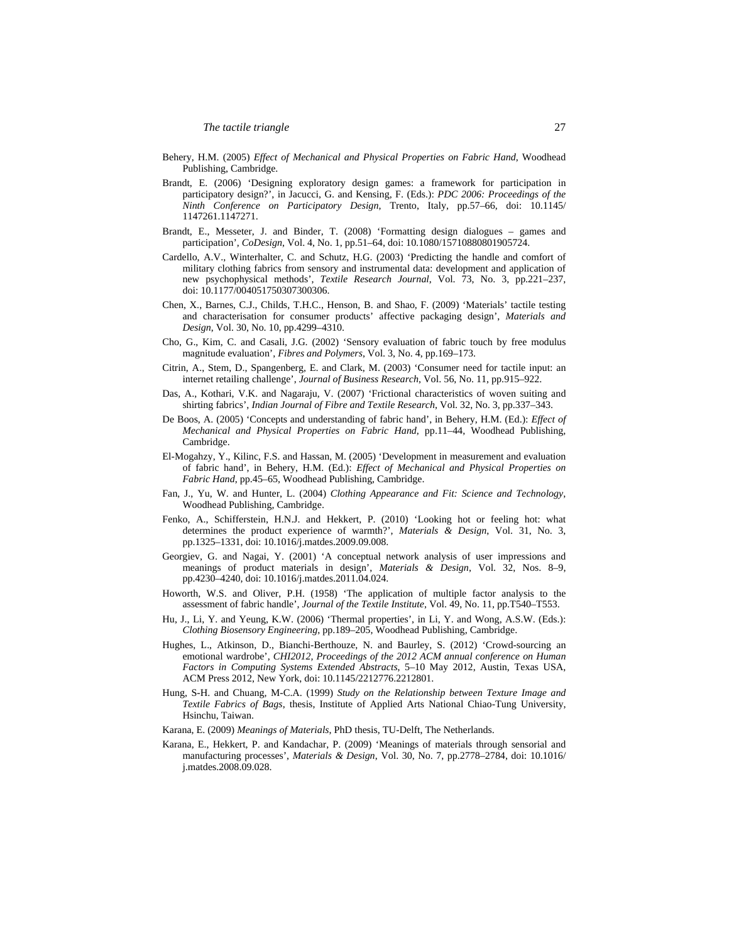- Behery, H.M. (2005) *Effect of Mechanical and Physical Properties on Fabric Hand*, Woodhead Publishing, Cambridge.
- Brandt, E. (2006) 'Designing exploratory design games: a framework for participation in participatory design?', in Jacucci, G. and Kensing, F. (Eds.): *PDC 2006: Proceedings of the Ninth Conference on Participatory Design*, Trento, Italy, pp.57–66, doi: 10.1145/ 1147261.1147271.
- Brandt, E., Messeter, J. and Binder, T. (2008) 'Formatting design dialogues games and participation', *CoDesign*, Vol. 4, No. 1, pp.51–64, doi: 10.1080/15710880801905724.
- Cardello, A.V., Winterhalter, C. and Schutz, H.G. (2003) 'Predicting the handle and comfort of military clothing fabrics from sensory and instrumental data: development and application of new psychophysical methods', *Textile Research Journal*, Vol. 73, No. 3, pp.221–237, doi: 10.1177/004051750307300306.
- Chen, X., Barnes, C.J., Childs, T.H.C., Henson, B. and Shao, F. (2009) 'Materials' tactile testing and characterisation for consumer products' affective packaging design', *Materials and Design*, Vol. 30, No. 10, pp.4299–4310.
- Cho, G., Kim, C. and Casali, J.G. (2002) 'Sensory evaluation of fabric touch by free modulus magnitude evaluation', *Fibres and Polymers*, Vol. 3, No. 4, pp.169–173.
- Citrin, A., Stem, D., Spangenberg, E. and Clark, M. (2003) 'Consumer need for tactile input: an internet retailing challenge', *Journal of Business Research*, Vol. 56, No. 11, pp.915–922.
- Das, A., Kothari, V.K. and Nagaraju, V. (2007) 'Frictional characteristics of woven suiting and shirting fabrics', *Indian Journal of Fibre and Textile Research*, Vol. 32, No. 3, pp.337–343.
- De Boos, A. (2005) 'Concepts and understanding of fabric hand', in Behery, H.M. (Ed.): *Effect of Mechanical and Physical Properties on Fabric Hand*, pp.11–44, Woodhead Publishing, Cambridge.
- El-Mogahzy, Y., Kilinc, F.S. and Hassan, M. (2005) 'Development in measurement and evaluation of fabric hand', in Behery, H.M. (Ed.): *Effect of Mechanical and Physical Properties on Fabric Hand*, pp.45–65, Woodhead Publishing, Cambridge.
- Fan, J., Yu, W. and Hunter, L. (2004) *Clothing Appearance and Fit: Science and Technology*, Woodhead Publishing, Cambridge.
- Fenko, A., Schifferstein, H.N.J. and Hekkert, P. (2010) 'Looking hot or feeling hot: what determines the product experience of warmth?', *Materials & Design*, Vol. 31, No. 3, pp.1325–1331, doi: 10.1016/j.matdes.2009.09.008.
- Georgiev, G. and Nagai, Y. (2001) 'A conceptual network analysis of user impressions and meanings of product materials in design', *Materials & Design*, Vol. 32, Nos. 8–9, pp.4230–4240, doi: 10.1016/j.matdes.2011.04.024.
- Howorth, W.S. and Oliver, P.H. (1958) 'The application of multiple factor analysis to the assessment of fabric handle', *Journal of the Textile Institute*, Vol. 49, No. 11, pp.T540–T553.
- Hu, J., Li, Y. and Yeung, K.W. (2006) 'Thermal properties', in Li, Y. and Wong, A.S.W. (Eds.): *Clothing Biosensory Engineering*, pp.189–205, Woodhead Publishing, Cambridge.
- Hughes, L., Atkinson, D., Bianchi-Berthouze, N. and Baurley, S. (2012) 'Crowd-sourcing an emotional wardrobe', *CHI2012, Proceedings of the 2012 ACM annual conference on Human Factors in Computing Systems Extended Abstracts*, 5–10 May 2012, Austin, Texas USA, ACM Press 2012, New York, doi: 10.1145/2212776.2212801.
- Hung, S-H. and Chuang, M-C.A. (1999) *Study on the Relationship between Texture Image and Textile Fabrics of Bags*, thesis, Institute of Applied Arts National Chiao-Tung University, Hsinchu, Taiwan.
- Karana, E. (2009) *Meanings of Materials*, PhD thesis, TU-Delft, The Netherlands.
- Karana, E., Hekkert, P. and Kandachar, P. (2009) 'Meanings of materials through sensorial and manufacturing processes', *Materials & Design*, Vol. 30, No. 7, pp.2778–2784, doi: 10.1016/ j.matdes.2008.09.028.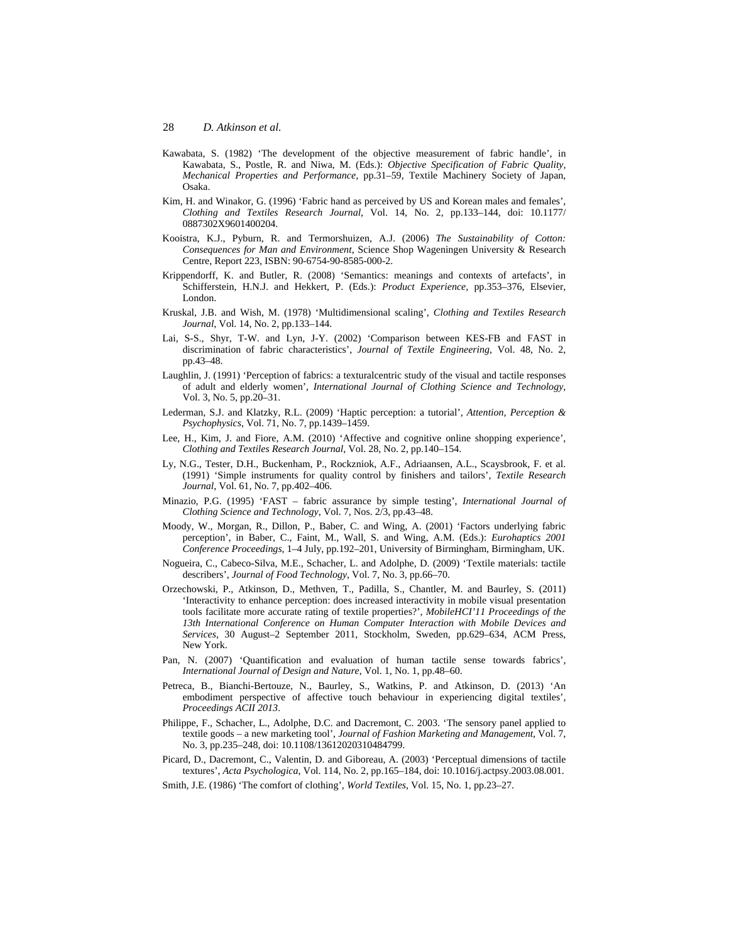- Kawabata, S. (1982) 'The development of the objective measurement of fabric handle', in Kawabata, S., Postle, R. and Niwa, M. (Eds.): *Objective Specification of Fabric Quality, Mechanical Properties and Performance*, pp.31–59, Textile Machinery Society of Japan, Osaka.
- Kim, H. and Winakor, G. (1996) 'Fabric hand as perceived by US and Korean males and females', *Clothing and Textiles Research Journal*, Vol. 14, No. 2, pp.133–144, doi: 10.1177/ 0887302X9601400204.
- Kooistra, K.J., Pyburn, R. and Termorshuizen, A.J. (2006) *The Sustainability of Cotton: Consequences for Man and Environment*, Science Shop Wageningen University & Research Centre, Report 223, ISBN: 90-6754-90-8585-000-2.
- Krippendorff, K. and Butler, R. (2008) 'Semantics: meanings and contexts of artefacts', in Schifferstein, H.N.J. and Hekkert, P. (Eds.): *Product Experience*, pp.353–376, Elsevier, London.
- Kruskal, J.B. and Wish, M. (1978) 'Multidimensional scaling', *Clothing and Textiles Research Journal*, Vol. 14, No. 2, pp.133–144.
- Lai, S-S., Shyr, T-W. and Lyn, J-Y. (2002) 'Comparison between KES-FB and FAST in discrimination of fabric characteristics', *Journal of Textile Engineering*, Vol. 48, No. 2, pp.43–48.
- Laughlin, J. (1991) 'Perception of fabrics: a texturalcentric study of the visual and tactile responses of adult and elderly women', *International Journal of Clothing Science and Technology*, Vol. 3, No. 5, pp.20–31.
- Lederman, S.J. and Klatzky, R.L. (2009) 'Haptic perception: a tutorial', *Attention, Perception & Psychophysics*, Vol. 71, No. 7, pp.1439–1459.
- Lee, H., Kim, J. and Fiore, A.M. (2010) 'Affective and cognitive online shopping experience', *Clothing and Textiles Research Journal*, Vol. 28, No. 2, pp.140–154.
- Ly, N.G., Tester, D.H., Buckenham, P., Rockzniok, A.F., Adriaansen, A.L., Scaysbrook, F. et al. (1991) 'Simple instruments for quality control by finishers and tailors', *Textile Research Journal*, Vol. 61, No. 7, pp.402–406.
- Minazio, P.G. (1995) 'FAST fabric assurance by simple testing', *International Journal of Clothing Science and Technology*, Vol. 7, Nos. 2/3, pp.43–48.
- Moody, W., Morgan, R., Dillon, P., Baber, C. and Wing, A. (2001) 'Factors underlying fabric perception', in Baber, C., Faint, M., Wall, S. and Wing, A.M. (Eds.): *Eurohaptics 2001 Conference Proceedings*, 1–4 July, pp.192–201, University of Birmingham, Birmingham, UK.
- Nogueira, C., Cabeco-Silva, M.E., Schacher, L. and Adolphe, D. (2009) 'Textile materials: tactile describers', *Journal of Food Technology*, Vol. 7, No. 3, pp.66–70.
- Orzechowski, P., Atkinson, D., Methven, T., Padilla, S., Chantler, M. and Baurley, S. (2011) 'Interactivity to enhance perception: does increased interactivity in mobile visual presentation tools facilitate more accurate rating of textile properties?', *MobileHCI'11 Proceedings of the*  13th International Conference on Human Computer Interaction with Mobile Devices and *Services*, 30 August–2 September 2011, Stockholm, Sweden, pp.629–634, ACM Press, New York.
- Pan, N. (2007) 'Quantification and evaluation of human tactile sense towards fabrics', *International Journal of Design and Nature*, Vol. 1, No. 1, pp.48–60.
- Petreca, B., Bianchi-Bertouze, N., Baurley, S., Watkins, P. and Atkinson, D. (2013) 'An embodiment perspective of affective touch behaviour in experiencing digital textiles', *Proceedings ACII 2013*.
- Philippe, F., Schacher, L., Adolphe, D.C. and Dacremont, C. 2003. 'The sensory panel applied to textile goods – a new marketing tool', *Journal of Fashion Marketing and Management*, Vol. 7, No. 3, pp.235–248, doi: 10.1108/13612020310484799.
- Picard, D., Dacremont, C., Valentin, D. and Giboreau, A. (2003) 'Perceptual dimensions of tactile textures', *Acta Psychologica*, Vol. 114, No. 2, pp.165–184, doi: 10.1016/j.actpsy.2003.08.001.
- Smith, J.E. (1986) 'The comfort of clothing', *World Textiles*, Vol. 15, No. 1, pp.23–27.